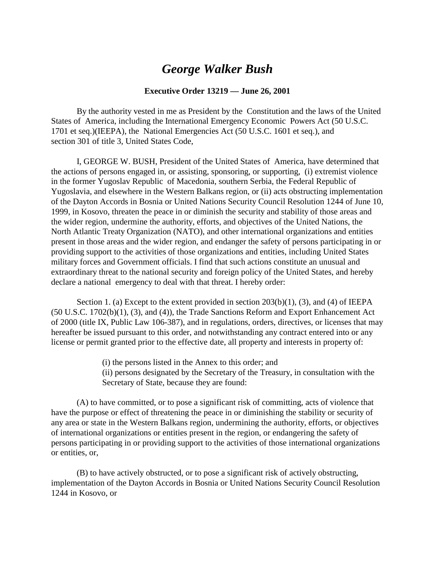# *George Walker Bush*

#### **Executive Order 13219 — June 26, 2001**

By the authority vested in me as President by the Constitution and the laws of the United States of America, including the International Emergency Economic Powers Act (50 U.S.C. 1701 et seq.)(IEEPA), the National Emergencies Act (50 U.S.C. 1601 et seq.), and section 301 of title 3, United States Code,

I, GEORGE W. BUSH, President of the United States of America, have determined that the actions of persons engaged in, or assisting, sponsoring, or supporting, (i) extremist violence in the former Yugoslav Republic of Macedonia, southern Serbia, the Federal Republic of Yugoslavia, and elsewhere in the Western Balkans region, or (ii) acts obstructing implementation of the Dayton Accords in Bosnia or United Nations Security Council Resolution 1244 of June 10, 1999, in Kosovo, threaten the peace in or diminish the security and stability of those areas and the wider region, undermine the authority, efforts, and objectives of the United Nations, the North Atlantic Treaty Organization (NATO), and other international organizations and entities present in those areas and the wider region, and endanger the safety of persons participating in or providing support to the activities of those organizations and entities, including United States military forces and Government officials. I find that such actions constitute an unusual and extraordinary threat to the national security and foreign policy of the United States, and hereby declare a national emergency to deal with that threat. I hereby order:

Section 1. (a) Except to the extent provided in section  $203(b)(1)$ , (3), and (4) of IEEPA (50 U.S.C. 1702(b)(1), (3), and (4)), the Trade Sanctions Reform and Export Enhancement Act of 2000 (title IX, Public Law 106-387), and in regulations, orders, directives, or licenses that may hereafter be issued pursuant to this order, and notwithstanding any contract entered into or any license or permit granted prior to the effective date, all property and interests in property of:

> (i) the persons listed in the Annex to this order; and (ii) persons designated by the Secretary of the Treasury, in consultation with the Secretary of State, because they are found:

(A) to have committed, or to pose a significant risk of committing, acts of violence that have the purpose or effect of threatening the peace in or diminishing the stability or security of any area or state in the Western Balkans region, undermining the authority, efforts, or objectives of international organizations or entities present in the region, or endangering the safety of persons participating in or providing support to the activities of those international organizations or entities, or,

(B) to have actively obstructed, or to pose a significant risk of actively obstructing, implementation of the Dayton Accords in Bosnia or United Nations Security Council Resolution 1244 in Kosovo, or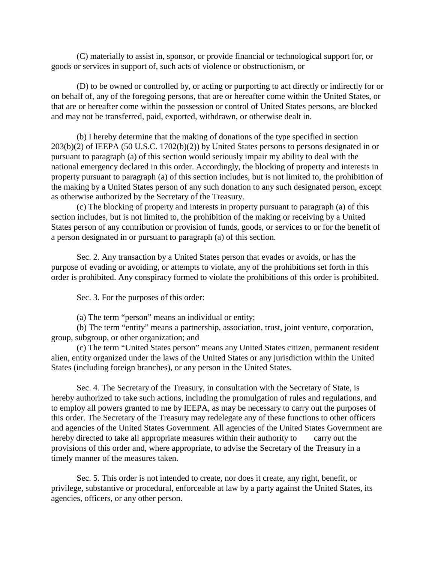(C) materially to assist in, sponsor, or provide financial or technological support for, or goods or services in support of, such acts of violence or obstructionism, or

(D) to be owned or controlled by, or acting or purporting to act directly or indirectly for or on behalf of, any of the foregoing persons, that are or hereafter come within the United States, or that are or hereafter come within the possession or control of United States persons, are blocked and may not be transferred, paid, exported, withdrawn, or otherwise dealt in.

(b) I hereby determine that the making of donations of the type specified in section 203(b)(2) of IEEPA (50 U.S.C. 1702(b)(2)) by United States persons to persons designated in or pursuant to paragraph (a) of this section would seriously impair my ability to deal with the national emergency declared in this order. Accordingly, the blocking of property and interests in property pursuant to paragraph (a) of this section includes, but is not limited to, the prohibition of the making by a United States person of any such donation to any such designated person, except as otherwise authorized by the Secretary of the Treasury.

(c) The blocking of property and interests in property pursuant to paragraph (a) of this section includes, but is not limited to, the prohibition of the making or receiving by a United States person of any contribution or provision of funds, goods, or services to or for the benefit of a person designated in or pursuant to paragraph (a) of this section.

Sec. 2. Any transaction by a United States person that evades or avoids, or has the purpose of evading or avoiding, or attempts to violate, any of the prohibitions set forth in this order is prohibited. Any conspiracy formed to violate the prohibitions of this order is prohibited.

Sec. 3. For the purposes of this order:

(a) The term "person" means an individual or entity;

(b) The term "entity" means a partnership, association, trust, joint venture, corporation, group, subgroup, or other organization; and

(c) The term "United States person" means any United States citizen, permanent resident alien, entity organized under the laws of the United States or any jurisdiction within the United States (including foreign branches), or any person in the United States.

Sec. 4. The Secretary of the Treasury, in consultation with the Secretary of State, is hereby authorized to take such actions, including the promulgation of rules and regulations, and to employ all powers granted to me by IEEPA, as may be necessary to carry out the purposes of this order. The Secretary of the Treasury may redelegate any of these functions to other officers and agencies of the United States Government. All agencies of the United States Government are hereby directed to take all appropriate measures within their authority to carry out the provisions of this order and, where appropriate, to advise the Secretary of the Treasury in a timely manner of the measures taken.

Sec. 5. This order is not intended to create, nor does it create, any right, benefit, or privilege, substantive or procedural, enforceable at law by a party against the United States, its agencies, officers, or any other person.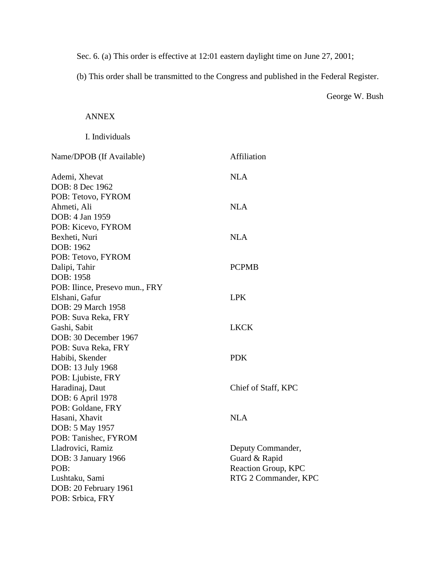Sec. 6. (a) This order is effective at 12:01 eastern daylight time on June 27, 2001;

(b) This order shall be transmitted to the Congress and published in the Federal Register.

George W. Bush

# ANNEX

I. Individuals

| Name/DPOB (If Available)       | Affiliation          |
|--------------------------------|----------------------|
| Ademi, Xhevat                  | <b>NLA</b>           |
| DOB: 8 Dec 1962                |                      |
| POB: Tetovo, FYROM             |                      |
| Ahmeti, Ali                    | <b>NLA</b>           |
| DOB: 4 Jan 1959                |                      |
| POB: Kicevo, FYROM             |                      |
| Bexheti, Nuri                  | <b>NLA</b>           |
| DOB: 1962                      |                      |
| POB: Tetovo, FYROM             |                      |
| Dalipi, Tahir                  | <b>PCPMB</b>         |
| DOB: 1958                      |                      |
| POB: Ilince, Presevo mun., FRY |                      |
| Elshani, Gafur                 | <b>LPK</b>           |
| DOB: 29 March 1958             |                      |
| POB: Suva Reka, FRY            |                      |
| Gashi, Sabit                   | <b>LKCK</b>          |
| DOB: 30 December 1967          |                      |
| POB: Suva Reka, FRY            |                      |
| Habibi, Skender                | <b>PDK</b>           |
| DOB: 13 July 1968              |                      |
| POB: Ljubiste, FRY             |                      |
| Haradinaj, Daut                | Chief of Staff, KPC  |
| DOB: 6 April 1978              |                      |
| POB: Goldane, FRY              |                      |
| Hasani, Xhavit                 | <b>NLA</b>           |
| DOB: 5 May 1957                |                      |
| POB: Tanishec, FYROM           |                      |
| Lladrovici, Ramiz              | Deputy Commander,    |
| DOB: 3 January 1966            | Guard & Rapid        |
| POB:                           | Reaction Group, KPC  |
| Lushtaku, Sami                 | RTG 2 Commander, KPC |
| DOB: 20 February 1961          |                      |
| POB: Srbica, FRY               |                      |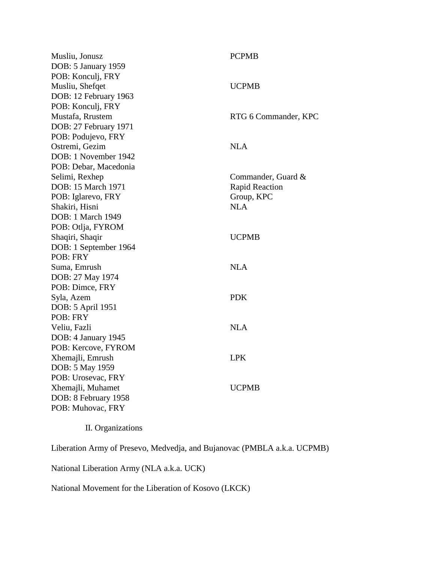| Musliu, Jonusz           | <b>PCPMB</b>          |
|--------------------------|-----------------------|
| DOB: 5 January 1959      |                       |
| POB: Konculj, FRY        |                       |
| Musliu, Shefqet          | <b>UCPMB</b>          |
| DOB: 12 February 1963    |                       |
| POB: Konculj, FRY        |                       |
| Mustafa, Rrustem         | RTG 6 Commander, KPC  |
| DOB: 27 February 1971    |                       |
| POB: Podujevo, FRY       |                       |
| Ostremi, Gezim           | <b>NLA</b>            |
| DOB: 1 November 1942     |                       |
| POB: Debar, Macedonia    |                       |
| Selimi, Rexhep           | Commander, Guard &    |
| DOB: 15 March 1971       | <b>Rapid Reaction</b> |
| POB: Iglarevo, FRY       | Group, KPC            |
| Shakiri, Hisni           | <b>NLA</b>            |
| <b>DOB: 1 March 1949</b> |                       |
| POB: Otlja, FYROM        |                       |
| Shaqiri, Shaqir          | <b>UCPMB</b>          |
| DOB: 1 September 1964    |                       |
| POB: FRY                 |                       |
| Suma, Emrush             | <b>NLA</b>            |
| DOB: 27 May 1974         |                       |
| POB: Dimce, FRY          |                       |
| Syla, Azem               | <b>PDK</b>            |
| DOB: 5 April 1951        |                       |
| POB: FRY                 |                       |
| Veliu, Fazli             | <b>NLA</b>            |
| DOB: 4 January 1945      |                       |
| POB: Kercove, FYROM      |                       |
| Xhemajli, Emrush         | <b>LPK</b>            |
| DOB: 5 May 1959          |                       |
| POB: Urosevac, FRY       |                       |
| Xhemajli, Muhamet        | <b>UCPMB</b>          |
| DOB: 8 February 1958     |                       |
| POB: Muhovac, FRY        |                       |
|                          |                       |

II. Organizations

Liberation Army of Presevo, Medvedja, and Bujanovac (PMBLA a.k.a. UCPMB)

National Liberation Army (NLA a.k.a. UCK)

National Movement for the Liberation of Kosovo (LKCK)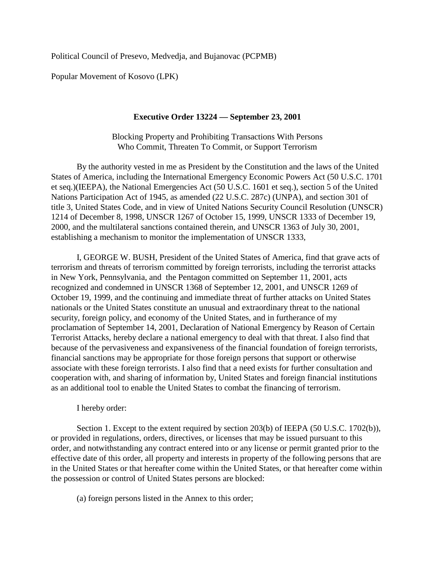Political Council of Presevo, Medvedja, and Bujanovac (PCPMB)

Popular Movement of Kosovo (LPK)

# **Executive Order 13224 — September 23, 2001**

Blocking Property and Prohibiting Transactions With Persons Who Commit, Threaten To Commit, or Support Terrorism

By the authority vested in me as President by the Constitution and the laws of the United States of America, including the International Emergency Economic Powers Act (50 U.S.C. 1701 et seq.)(IEEPA), the National Emergencies Act (50 U.S.C. 1601 et seq.), section 5 of the United Nations Participation Act of 1945, as amended (22 U.S.C. 287c) (UNPA), and section 301 of title 3, United States Code, and in view of United Nations Security Council Resolution (UNSCR) 1214 of December 8, 1998, UNSCR 1267 of October 15, 1999, UNSCR 1333 of December 19, 2000, and the multilateral sanctions contained therein, and UNSCR 1363 of July 30, 2001, establishing a mechanism to monitor the implementation of UNSCR 1333,

I, GEORGE W. BUSH, President of the United States of America, find that grave acts of terrorism and threats of terrorism committed by foreign terrorists, including the terrorist attacks in New York, Pennsylvania, and the Pentagon committed on September 11, 2001, acts recognized and condemned in UNSCR 1368 of September 12, 2001, and UNSCR 1269 of October 19, 1999, and the continuing and immediate threat of further attacks on United States nationals or the United States constitute an unusual and extraordinary threat to the national security, foreign policy, and economy of the United States, and in furtherance of my proclamation of September 14, 2001, Declaration of National Emergency by Reason of Certain Terrorist Attacks, hereby declare a national emergency to deal with that threat. I also find that because of the pervasiveness and expansiveness of the financial foundation of foreign terrorists, financial sanctions may be appropriate for those foreign persons that support or otherwise associate with these foreign terrorists. I also find that a need exists for further consultation and cooperation with, and sharing of information by, United States and foreign financial institutions as an additional tool to enable the United States to combat the financing of terrorism.

#### I hereby order:

Section 1. Except to the extent required by section 203(b) of IEEPA (50 U.S.C. 1702(b)), or provided in regulations, orders, directives, or licenses that may be issued pursuant to this order, and notwithstanding any contract entered into or any license or permit granted prior to the effective date of this order, all property and interests in property of the following persons that are in the United States or that hereafter come within the United States, or that hereafter come within the possession or control of United States persons are blocked:

(a) foreign persons listed in the Annex to this order;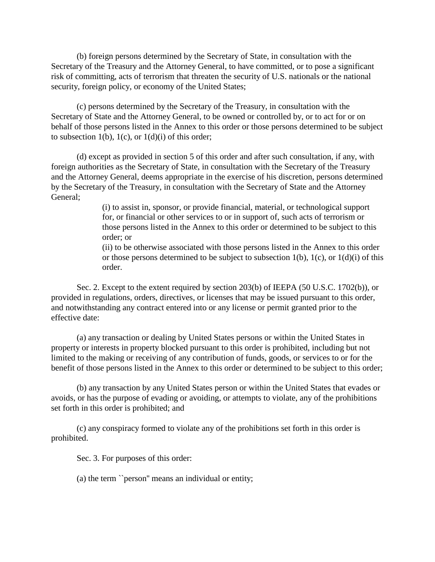(b) foreign persons determined by the Secretary of State, in consultation with the Secretary of the Treasury and the Attorney General, to have committed, or to pose a significant risk of committing, acts of terrorism that threaten the security of U.S. nationals or the national security, foreign policy, or economy of the United States;

(c) persons determined by the Secretary of the Treasury, in consultation with the Secretary of State and the Attorney General, to be owned or controlled by, or to act for or on behalf of those persons listed in the Annex to this order or those persons determined to be subject to subsection 1(b), 1(c), or  $1(d)(i)$  of this order;

(d) except as provided in section 5 of this order and after such consultation, if any, with foreign authorities as the Secretary of State, in consultation with the Secretary of the Treasury and the Attorney General, deems appropriate in the exercise of his discretion, persons determined by the Secretary of the Treasury, in consultation with the Secretary of State and the Attorney General;

> (i) to assist in, sponsor, or provide financial, material, or technological support for, or financial or other services to or in support of, such acts of terrorism or those persons listed in the Annex to this order or determined to be subject to this order; or

(ii) to be otherwise associated with those persons listed in the Annex to this order or those persons determined to be subject to subsection  $1(b)$ ,  $1(c)$ , or  $1(d)(i)$  of this order.

Sec. 2. Except to the extent required by section 203(b) of IEEPA (50 U.S.C. 1702(b)), or provided in regulations, orders, directives, or licenses that may be issued pursuant to this order, and notwithstanding any contract entered into or any license or permit granted prior to the effective date:

(a) any transaction or dealing by United States persons or within the United States in property or interests in property blocked pursuant to this order is prohibited, including but not limited to the making or receiving of any contribution of funds, goods, or services to or for the benefit of those persons listed in the Annex to this order or determined to be subject to this order;

(b) any transaction by any United States person or within the United States that evades or avoids, or has the purpose of evading or avoiding, or attempts to violate, any of the prohibitions set forth in this order is prohibited; and

(c) any conspiracy formed to violate any of the prohibitions set forth in this order is prohibited.

Sec. 3. For purposes of this order:

(a) the term ``person'' means an individual or entity;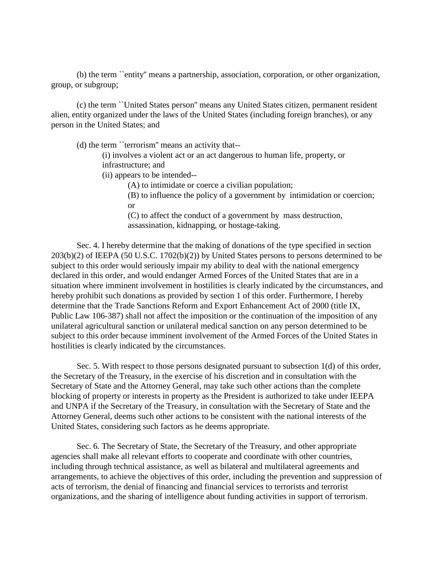(b) the term ``entity'' means a partnership, association, corporation, or other organization, group, or subgroup;

(c) the term ``United States person'' means any United States citizen, permanent resident alien, entity organized under the laws of the United States (including foreign branches), or any person in the United States; and

(d) the term ``terrorism'' means an activity that--

(i) involves a violent act or an act dangerous to human life, property, or infrastructure; and

(ii) appears to be intended--

(A) to intimidate or coerce a civilian population;

(B) to influence the policy of a government by intimidation or coercion; or

(C) to affect the conduct of a government by mass destruction, assassination, kidnapping, or hostage-taking.

Sec. 4. I hereby determine that the making of donations of the type specified in section 203(b)(2) of IEEPA (50 U.S.C. 1702(b)(2)) by United States persons to persons determined to be subject to this order would seriously impair my ability to deal with the national emergency declared in this order, and would endanger Armed Forces of the United States that are in a situation where imminent involvement in hostilities is clearly indicated by the circumstances, and hereby prohibit such donations as provided by section 1 of this order. Furthermore, I hereby determine that the Trade Sanctions Reform and Export Enhancement Act of 2000 (title IX, Public Law 106-387) shall not affect the imposition or the continuation of the imposition of any unilateral agricultural sanction or unilateral medical sanction on any person determined to be subject to this order because imminent involvement of the Armed Forces of the United States in hostilities is clearly indicated by the circumstances.

Sec. 5. With respect to those persons designated pursuant to subsection 1(d) of this order, the Secretary of the Treasury, in the exercise of his discretion and in consultation with the Secretary of State and the Attorney General, may take such other actions than the complete blocking of property or interests in property as the President is authorized to take under IEEPA and UNPA if the Secretary of the Treasury, in consultation with the Secretary of State and the Attorney General, deems such other actions to be consistent with the national interests of the United States, considering such factors as he deems appropriate.

Sec. 6. The Secretary of State, the Secretary of the Treasury, and other appropriate agencies shall make all relevant efforts to cooperate and coordinate with other countries, including through technical assistance, as well as bilateral and multilateral agreements and arrangements, to achieve the objectives of this order, including the prevention and suppression of acts of terrorism, the denial of financing and financial services to terrorists and terrorist organizations, and the sharing of intelligence about funding activities in support of terrorism.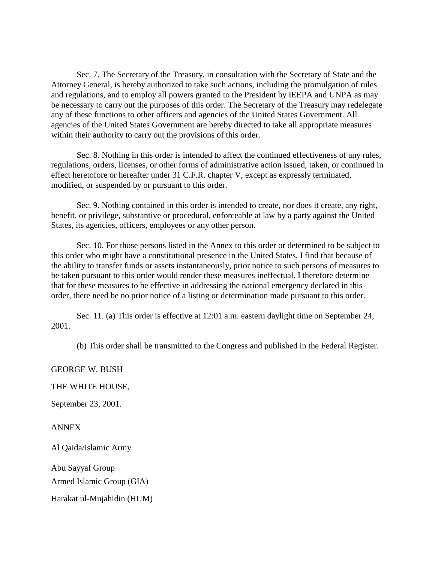Sec. 7. The Secretary of the Treasury, in consultation with the Secretary of State and the Attorney General, is hereby authorized to take such actions, including the promulgation of rules and regulations, and to employ all powers granted to the President by IEEPA and UNPA as may be necessary to carry out the purposes of this order. The Secretary of the Treasury may redelegate any of these functions to other officers and agencies of the United States Government. All agencies of the United States Government are hereby directed to take all appropriate measures within their authority to carry out the provisions of this order.

Sec. 8. Nothing in this order is intended to affect the continued effectiveness of any rules, regulations, orders, licenses, or other forms of administrative action issued, taken, or continued in effect heretofore or hereafter under 31 C.F.R. chapter V, except as expressly terminated, modified, or suspended by or pursuant to this order.

Sec. 9. Nothing contained in this order is intended to create, nor does it create, any right, benefit, or privilege, substantive or procedural, enforceable at law by a party against the United States, its agencies, officers, employees or any other person.

Sec. 10. For those persons listed in the Annex to this order or determined to be subject to this order who might have a constitutional presence in the United States, I find that because of the ability to transfer funds or assets instantaneously, prior notice to such persons of measures to be taken pursuant to this order would render these measures ineffectual. I therefore determine that for these measures to be effective in addressing the national emergency declared in this order, there need be no prior notice of a listing or determination made pursuant to this order.

Sec. 11. (a) This order is effective at 12:01 a.m. eastern daylight time on September 24, 2001.

(b) This order shall be transmitted to the Congress and published in the Federal Register.

## GEORGE W. BUSH

#### THE WHITE HOUSE,

September 23, 2001.

#### ANNEX

Al Qaida/Islamic Army

Abu Sayyaf Group Armed Islamic Group (GIA)

Harakat ul-Mujahidin (HUM)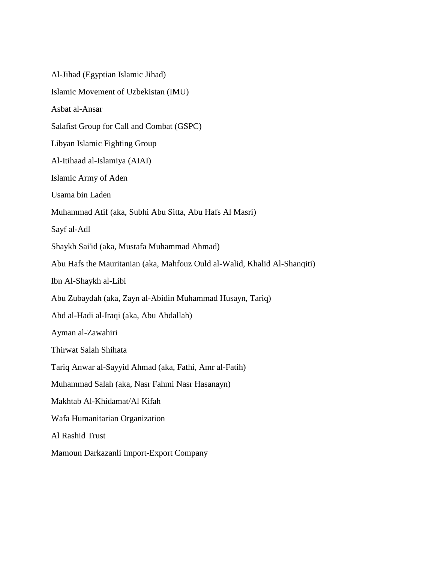Al-Jihad (Egyptian Islamic Jihad) Islamic Movement of Uzbekistan (IMU) Asbat al-Ansar Salafist Group for Call and Combat (GSPC) Libyan Islamic Fighting Group Al-Itihaad al-Islamiya (AIAI) Islamic Army of Aden Usama bin Laden Muhammad Atif (aka, Subhi Abu Sitta, Abu Hafs Al Masri) Sayf al-Adl Shaykh Sai'id (aka, Mustafa Muhammad Ahmad) Abu Hafs the Mauritanian (aka, Mahfouz Ould al-Walid, Khalid Al-Shanqiti) Ibn Al-Shaykh al-Libi Abu Zubaydah (aka, Zayn al-Abidin Muhammad Husayn, Tariq) Abd al-Hadi al-Iraqi (aka, Abu Abdallah) Ayman al-Zawahiri Thirwat Salah Shihata Tariq Anwar al-Sayyid Ahmad (aka, Fathi, Amr al-Fatih) Muhammad Salah (aka, Nasr Fahmi Nasr Hasanayn) Makhtab Al-Khidamat/Al Kifah Wafa Humanitarian Organization Al Rashid Trust Mamoun Darkazanli Import-Export Company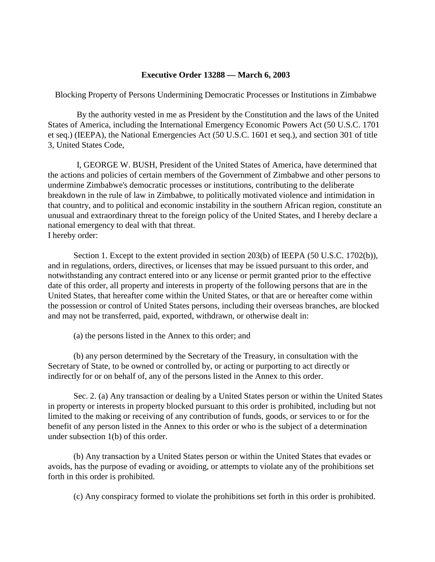# **Executive Order 13288 — March 6, 2003**

Blocking Property of Persons Undermining Democratic Processes or Institutions in Zimbabwe

By the authority vested in me as President by the Constitution and the laws of the United States of America, including the International Emergency Economic Powers Act (50 U.S.C. 1701 et seq.) (IEEPA), the National Emergencies Act (50 U.S.C. 1601 et seq.), and section 301 of title 3, United States Code,

I, GEORGE W. BUSH, President of the United States of America, have determined that the actions and policies of certain members of the Government of Zimbabwe and other persons to undermine Zimbabwe's democratic processes or institutions, contributing to the deliberate breakdown in the rule of law in Zimbabwe, to politically motivated violence and intimidation in that country, and to political and economic instability in the southern African region, constitute an unusual and extraordinary threat to the foreign policy of the United States, and I hereby declare a national emergency to deal with that threat. I hereby order:

Section 1. Except to the extent provided in section 203(b) of IEEPA (50 U.S.C. 1702(b)), and in regulations, orders, directives, or licenses that may be issued pursuant to this order, and notwithstanding any contract entered into or any license or permit granted prior to the effective date of this order, all property and interests in property of the following persons that are in the United States, that hereafter come within the United States, or that are or hereafter come within the possession or control of United States persons, including their overseas branches, are blocked and may not be transferred, paid, exported, withdrawn, or otherwise dealt in:

(a) the persons listed in the Annex to this order; and

(b) any person determined by the Secretary of the Treasury, in consultation with the Secretary of State, to be owned or controlled by, or acting or purporting to act directly or indirectly for or on behalf of, any of the persons listed in the Annex to this order.

Sec. 2. (a) Any transaction or dealing by a United States person or within the United States in property or interests in property blocked pursuant to this order is prohibited, including but not limited to the making or receiving of any contribution of funds, goods, or services to or for the benefit of any person listed in the Annex to this order or who is the subject of a determination under subsection 1(b) of this order.

(b) Any transaction by a United States person or within the United States that evades or avoids, has the purpose of evading or avoiding, or attempts to violate any of the prohibitions set forth in this order is prohibited.

(c) Any conspiracy formed to violate the prohibitions set forth in this order is prohibited.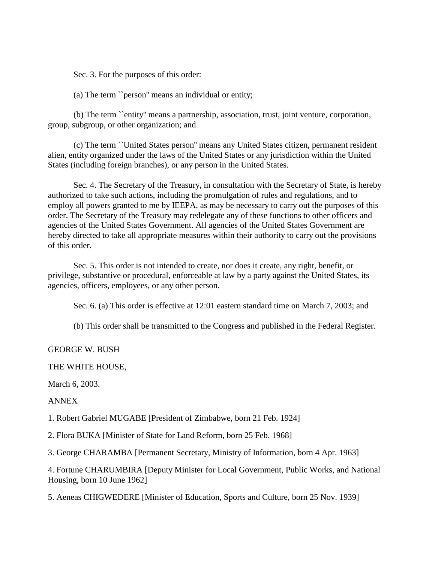Sec. 3. For the purposes of this order:

(a) The term ``person'' means an individual or entity;

(b) The term ``entity'' means a partnership, association, trust, joint venture, corporation, group, subgroup, or other organization; and

(c) The term ``United States person'' means any United States citizen, permanent resident alien, entity organized under the laws of the United States or any jurisdiction within the United States (including foreign branches), or any person in the United States.

Sec. 4. The Secretary of the Treasury, in consultation with the Secretary of State, is hereby authorized to take such actions, including the promulgation of rules and regulations, and to employ all powers granted to me by IEEPA, as may be necessary to carry out the purposes of this order. The Secretary of the Treasury may redelegate any of these functions to other officers and agencies of the United States Government. All agencies of the United States Government are hereby directed to take all appropriate measures within their authority to carry out the provisions of this order.

Sec. 5. This order is not intended to create, nor does it create, any right, benefit, or privilege, substantive or procedural, enforceable at law by a party against the United States, its agencies, officers, employees, or any other person.

Sec. 6. (a) This order is effective at 12:01 eastern standard time on March 7, 2003; and

(b) This order shall be transmitted to the Congress and published in the Federal Register.

GEORGE W. BUSH

THE WHITE HOUSE,

March 6, 2003.

#### ANNEX

1. Robert Gabriel MUGABE [President of Zimbabwe, born 21 Feb. 1924]

2. Flora BUKA [Minister of State for Land Reform, born 25 Feb. 1968]

3. George CHARAMBA [Permanent Secretary, Ministry of Information, born 4 Apr. 1963]

4. Fortune CHARUMBIRA [Deputy Minister for Local Government, Public Works, and National Housing, born 10 June 1962]

5. Aeneas CHIGWEDERE [Minister of Education, Sports and Culture, born 25 Nov. 1939]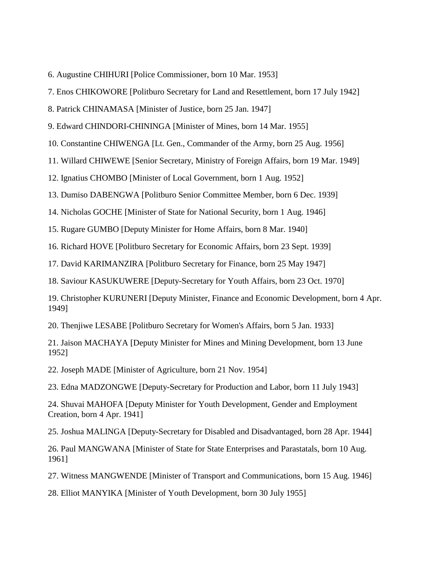6. Augustine CHIHURI [Police Commissioner, born 10 Mar. 1953]

7. Enos CHIKOWORE [Politburo Secretary for Land and Resettlement, born 17 July 1942]

8. Patrick CHINAMASA [Minister of Justice, born 25 Jan. 1947]

9. Edward CHINDORI-CHININGA [Minister of Mines, born 14 Mar. 1955]

10. Constantine CHIWENGA [Lt. Gen., Commander of the Army, born 25 Aug. 1956]

11. Willard CHIWEWE [Senior Secretary, Ministry of Foreign Affairs, born 19 Mar. 1949]

12. Ignatius CHOMBO [Minister of Local Government, born 1 Aug. 1952]

13. Dumiso DABENGWA [Politburo Senior Committee Member, born 6 Dec. 1939]

14. Nicholas GOCHE [Minister of State for National Security, born 1 Aug. 1946]

15. Rugare GUMBO [Deputy Minister for Home Affairs, born 8 Mar. 1940]

16. Richard HOVE [Politburo Secretary for Economic Affairs, born 23 Sept. 1939]

17. David KARIMANZIRA [Politburo Secretary for Finance, born 25 May 1947]

18. Saviour KASUKUWERE [Deputy-Secretary for Youth Affairs, born 23 Oct. 1970]

19. Christopher KURUNERI [Deputy Minister, Finance and Economic Development, born 4 Apr. 1949]

20. Thenjiwe LESABE [Politburo Secretary for Women's Affairs, born 5 Jan. 1933]

21. Jaison MACHAYA [Deputy Minister for Mines and Mining Development, born 13 June 1952]

22. Joseph MADE [Minister of Agriculture, born 21 Nov. 1954]

23. Edna MADZONGWE [Deputy-Secretary for Production and Labor, born 11 July 1943]

24. Shuvai MAHOFA [Deputy Minister for Youth Development, Gender and Employment Creation, born 4 Apr. 1941]

25. Joshua MALINGA [Deputy-Secretary for Disabled and Disadvantaged, born 28 Apr. 1944]

26. Paul MANGWANA [Minister of State for State Enterprises and Parastatals, born 10 Aug. 1961]

27. Witness MANGWENDE [Minister of Transport and Communications, born 15 Aug. 1946]

28. Elliot MANYIKA [Minister of Youth Development, born 30 July 1955]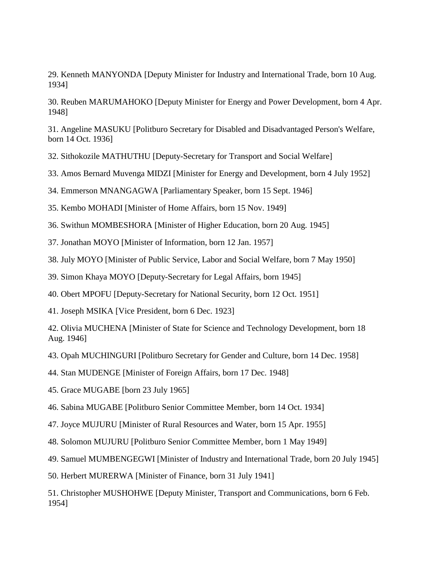29. Kenneth MANYONDA [Deputy Minister for Industry and International Trade, born 10 Aug. 1934]

30. Reuben MARUMAHOKO [Deputy Minister for Energy and Power Development, born 4 Apr. 1948]

31. Angeline MASUKU [Politburo Secretary for Disabled and Disadvantaged Person's Welfare, born 14 Oct. 1936]

32. Sithokozile MATHUTHU [Deputy-Secretary for Transport and Social Welfare]

33. Amos Bernard Muvenga MIDZI [Minister for Energy and Development, born 4 July 1952]

34. Emmerson MNANGAGWA [Parliamentary Speaker, born 15 Sept. 1946]

35. Kembo MOHADI [Minister of Home Affairs, born 15 Nov. 1949]

36. Swithun MOMBESHORA [Minister of Higher Education, born 20 Aug. 1945]

37. Jonathan MOYO [Minister of Information, born 12 Jan. 1957]

38. July MOYO [Minister of Public Service, Labor and Social Welfare, born 7 May 1950]

39. Simon Khaya MOYO [Deputy-Secretary for Legal Affairs, born 1945]

40. Obert MPOFU [Deputy-Secretary for National Security, born 12 Oct. 1951]

41. Joseph MSIKA [Vice President, born 6 Dec. 1923]

42. Olivia MUCHENA [Minister of State for Science and Technology Development, born 18 Aug. 1946]

43. Opah MUCHINGURI [Politburo Secretary for Gender and Culture, born 14 Dec. 1958]

44. Stan MUDENGE [Minister of Foreign Affairs, born 17 Dec. 1948]

45. Grace MUGABE [born 23 July 1965]

46. Sabina MUGABE [Politburo Senior Committee Member, born 14 Oct. 1934]

47. Joyce MUJURU [Minister of Rural Resources and Water, born 15 Apr. 1955]

48. Solomon MUJURU [Politburo Senior Committee Member, born 1 May 1949]

49. Samuel MUMBENGEGWI [Minister of Industry and International Trade, born 20 July 1945]

50. Herbert MURERWA [Minister of Finance, born 31 July 1941]

51. Christopher MUSHOHWE [Deputy Minister, Transport and Communications, born 6 Feb. 1954]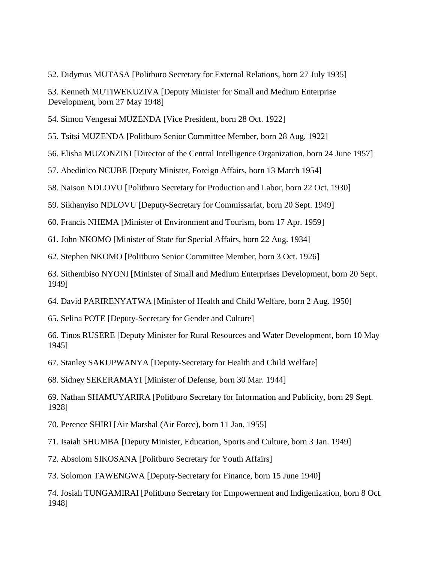52. Didymus MUTASA [Politburo Secretary for External Relations, born 27 July 1935]

53. Kenneth MUTIWEKUZIVA [Deputy Minister for Small and Medium Enterprise Development, born 27 May 1948]

54. Simon Vengesai MUZENDA [Vice President, born 28 Oct. 1922]

55. Tsitsi MUZENDA [Politburo Senior Committee Member, born 28 Aug. 1922]

56. Elisha MUZONZINI [Director of the Central Intelligence Organization, born 24 June 1957]

57. Abedinico NCUBE [Deputy Minister, Foreign Affairs, born 13 March 1954]

58. Naison NDLOVU [Politburo Secretary for Production and Labor, born 22 Oct. 1930]

59. Sikhanyiso NDLOVU [Deputy-Secretary for Commissariat, born 20 Sept. 1949]

60. Francis NHEMA [Minister of Environment and Tourism, born 17 Apr. 1959]

61. John NKOMO [Minister of State for Special Affairs, born 22 Aug. 1934]

62. Stephen NKOMO [Politburo Senior Committee Member, born 3 Oct. 1926]

63. Sithembiso NYONI [Minister of Small and Medium Enterprises Development, born 20 Sept. 1949]

64. David PARIRENYATWA [Minister of Health and Child Welfare, born 2 Aug. 1950]

65. Selina POTE [Deputy-Secretary for Gender and Culture]

66. Tinos RUSERE [Deputy Minister for Rural Resources and Water Development, born 10 May 1945]

67. Stanley SAKUPWANYA [Deputy-Secretary for Health and Child Welfare]

68. Sidney SEKERAMAYI [Minister of Defense, born 30 Mar. 1944]

69. Nathan SHAMUYARIRA [Politburo Secretary for Information and Publicity, born 29 Sept. 1928]

70. Perence SHIRI [Air Marshal (Air Force), born 11 Jan. 1955]

71. Isaiah SHUMBA [Deputy Minister, Education, Sports and Culture, born 3 Jan. 1949]

72. Absolom SIKOSANA [Politburo Secretary for Youth Affairs]

73. Solomon TAWENGWA [Deputy-Secretary for Finance, born 15 June 1940]

74. Josiah TUNGAMIRAI [Politburo Secretary for Empowerment and Indigenization, born 8 Oct. 1948]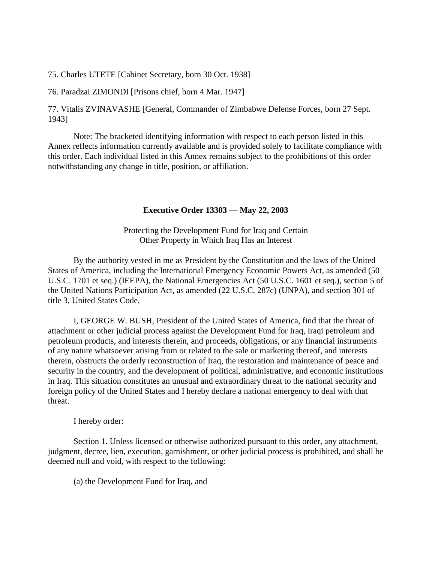75. Charles UTETE [Cabinet Secretary, born 30 Oct. 1938]

76. Paradzai ZIMONDI [Prisons chief, born 4 Mar. 1947]

77. Vitalis ZVINAVASHE [General, Commander of Zimbabwe Defense Forces, born 27 Sept. 1943]

Note: The bracketed identifying information with respect to each person listed in this Annex reflects information currently available and is provided solely to facilitate compliance with this order. Each individual listed in this Annex remains subject to the prohibitions of this order notwithstanding any change in title, position, or affiliation.

# **Executive Order 13303 — May 22, 2003**

Protecting the Development Fund for Iraq and Certain Other Property in Which Iraq Has an Interest

By the authority vested in me as President by the Constitution and the laws of the United States of America, including the International Emergency Economic Powers Act, as amended (50 U.S.C. 1701 et seq.) (IEEPA), the National Emergencies Act (50 U.S.C. 1601 et seq.), section 5 of the United Nations Participation Act, as amended (22 U.S.C. 287c) (UNPA), and section 301 of title 3, United States Code,

I, GEORGE W. BUSH, President of the United States of America, find that the threat of attachment or other judicial process against the Development Fund for Iraq, Iraqi petroleum and petroleum products, and interests therein, and proceeds, obligations, or any financial instruments of any nature whatsoever arising from or related to the sale or marketing thereof, and interests therein, obstructs the orderly reconstruction of Iraq, the restoration and maintenance of peace and security in the country, and the development of political, administrative, and economic institutions in Iraq. This situation constitutes an unusual and extraordinary threat to the national security and foreign policy of the United States and I hereby declare a national emergency to deal with that threat.

I hereby order:

Section 1. Unless licensed or otherwise authorized pursuant to this order, any attachment, judgment, decree, lien, execution, garnishment, or other judicial process is prohibited, and shall be deemed null and void, with respect to the following:

(a) the Development Fund for Iraq, and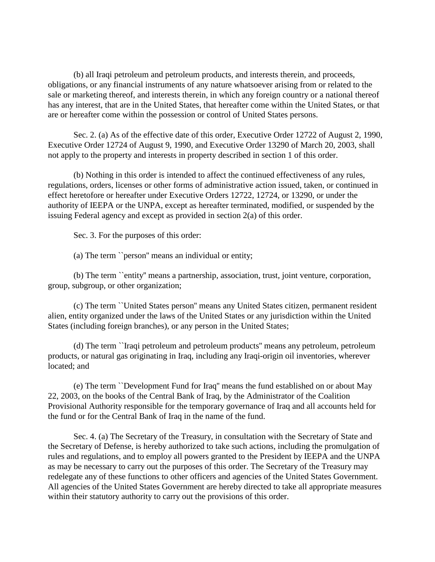(b) all Iraqi petroleum and petroleum products, and interests therein, and proceeds, obligations, or any financial instruments of any nature whatsoever arising from or related to the sale or marketing thereof, and interests therein, in which any foreign country or a national thereof has any interest, that are in the United States, that hereafter come within the United States, or that are or hereafter come within the possession or control of United States persons.

Sec. 2. (a) As of the effective date of this order, Executive Order 12722 of August 2, 1990, Executive Order 12724 of August 9, 1990, and Executive Order 13290 of March 20, 2003, shall not apply to the property and interests in property described in section 1 of this order.

(b) Nothing in this order is intended to affect the continued effectiveness of any rules, regulations, orders, licenses or other forms of administrative action issued, taken, or continued in effect heretofore or hereafter under Executive Orders 12722, 12724, or 13290, or under the authority of IEEPA or the UNPA, except as hereafter terminated, modified, or suspended by the issuing Federal agency and except as provided in section 2(a) of this order.

Sec. 3. For the purposes of this order:

(a) The term ``person'' means an individual or entity;

(b) The term ``entity'' means a partnership, association, trust, joint venture, corporation, group, subgroup, or other organization;

(c) The term ``United States person'' means any United States citizen, permanent resident alien, entity organized under the laws of the United States or any jurisdiction within the United States (including foreign branches), or any person in the United States;

(d) The term ``Iraqi petroleum and petroleum products'' means any petroleum, petroleum products, or natural gas originating in Iraq, including any Iraqi-origin oil inventories, wherever located; and

(e) The term ``Development Fund for Iraq'' means the fund established on or about May 22, 2003, on the books of the Central Bank of Iraq, by the Administrator of the Coalition Provisional Authority responsible for the temporary governance of Iraq and all accounts held for the fund or for the Central Bank of Iraq in the name of the fund.

Sec. 4. (a) The Secretary of the Treasury, in consultation with the Secretary of State and the Secretary of Defense, is hereby authorized to take such actions, including the promulgation of rules and regulations, and to employ all powers granted to the President by IEEPA and the UNPA as may be necessary to carry out the purposes of this order. The Secretary of the Treasury may redelegate any of these functions to other officers and agencies of the United States Government. All agencies of the United States Government are hereby directed to take all appropriate measures within their statutory authority to carry out the provisions of this order.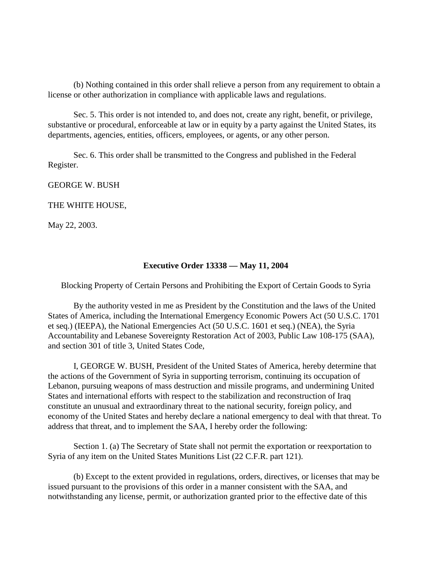(b) Nothing contained in this order shall relieve a person from any requirement to obtain a license or other authorization in compliance with applicable laws and regulations.

Sec. 5. This order is not intended to, and does not, create any right, benefit, or privilege, substantive or procedural, enforceable at law or in equity by a party against the United States, its departments, agencies, entities, officers, employees, or agents, or any other person.

Sec. 6. This order shall be transmitted to the Congress and published in the Federal Register.

# GEORGE W. BUSH

THE WHITE HOUSE,

May 22, 2003.

# **Executive Order 13338 — May 11, 2004**

Blocking Property of Certain Persons and Prohibiting the Export of Certain Goods to Syria

By the authority vested in me as President by the Constitution and the laws of the United States of America, including the International Emergency Economic Powers Act (50 U.S.C. 1701 et seq.) (IEEPA), the National Emergencies Act (50 U.S.C. 1601 et seq.) (NEA), the Syria Accountability and Lebanese Sovereignty Restoration Act of 2003, Public Law 108-175 (SAA), and section 301 of title 3, United States Code,

I, GEORGE W. BUSH, President of the United States of America, hereby determine that the actions of the Government of Syria in supporting terrorism, continuing its occupation of Lebanon, pursuing weapons of mass destruction and missile programs, and undermining United States and international efforts with respect to the stabilization and reconstruction of Iraq constitute an unusual and extraordinary threat to the national security, foreign policy, and economy of the United States and hereby declare a national emergency to deal with that threat. To address that threat, and to implement the SAA, I hereby order the following:

Section 1. (a) The Secretary of State shall not permit the exportation or reexportation to Syria of any item on the United States Munitions List (22 C.F.R. part 121).

(b) Except to the extent provided in regulations, orders, directives, or licenses that may be issued pursuant to the provisions of this order in a manner consistent with the SAA, and notwithstanding any license, permit, or authorization granted prior to the effective date of this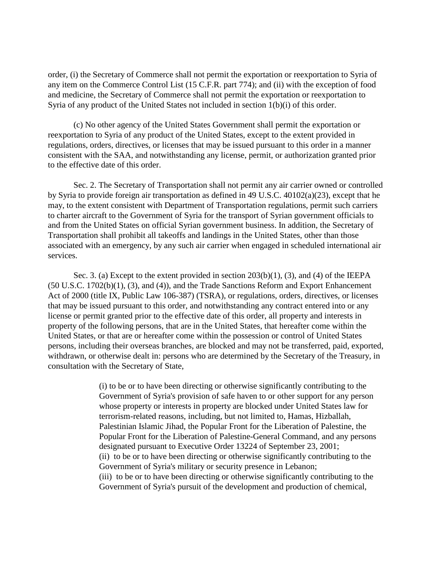order, (i) the Secretary of Commerce shall not permit the exportation or reexportation to Syria of any item on the Commerce Control List (15 C.F.R. part 774); and (ii) with the exception of food and medicine, the Secretary of Commerce shall not permit the exportation or reexportation to Syria of any product of the United States not included in section 1(b)(i) of this order.

(c) No other agency of the United States Government shall permit the exportation or reexportation to Syria of any product of the United States, except to the extent provided in regulations, orders, directives, or licenses that may be issued pursuant to this order in a manner consistent with the SAA, and notwithstanding any license, permit, or authorization granted prior to the effective date of this order.

Sec. 2. The Secretary of Transportation shall not permit any air carrier owned or controlled by Syria to provide foreign air transportation as defined in 49 U.S.C. 40102(a)(23), except that he may, to the extent consistent with Department of Transportation regulations, permit such carriers to charter aircraft to the Government of Syria for the transport of Syrian government officials to and from the United States on official Syrian government business. In addition, the Secretary of Transportation shall prohibit all takeoffs and landings in the United States, other than those associated with an emergency, by any such air carrier when engaged in scheduled international air services.

Sec. 3. (a) Except to the extent provided in section 203(b)(1), (3), and (4) of the IEEPA (50 U.S.C. 1702(b)(1), (3), and (4)), and the Trade Sanctions Reform and Export Enhancement Act of 2000 (title IX, Public Law 106-387) (TSRA), or regulations, orders, directives, or licenses that may be issued pursuant to this order, and notwithstanding any contract entered into or any license or permit granted prior to the effective date of this order, all property and interests in property of the following persons, that are in the United States, that hereafter come within the United States, or that are or hereafter come within the possession or control of United States persons, including their overseas branches, are blocked and may not be transferred, paid, exported, withdrawn, or otherwise dealt in: persons who are determined by the Secretary of the Treasury, in consultation with the Secretary of State,

> (i) to be or to have been directing or otherwise significantly contributing to the Government of Syria's provision of safe haven to or other support for any person whose property or interests in property are blocked under United States law for terrorism-related reasons, including, but not limited to, Hamas, Hizballah, Palestinian Islamic Jihad, the Popular Front for the Liberation of Palestine, the Popular Front for the Liberation of Palestine-General Command, and any persons designated pursuant to Executive Order 13224 of September 23, 2001; (ii) to be or to have been directing or otherwise significantly contributing to the Government of Syria's military or security presence in Lebanon; (iii) to be or to have been directing or otherwise significantly contributing to the Government of Syria's pursuit of the development and production of chemical,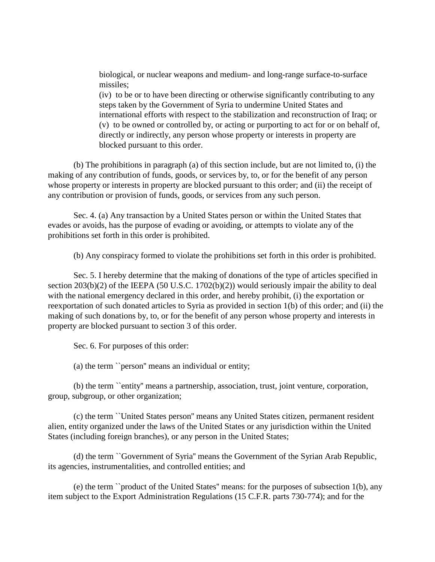biological, or nuclear weapons and medium- and long-range surface-to-surface missiles;

(iv) to be or to have been directing or otherwise significantly contributing to any steps taken by the Government of Syria to undermine United States and international efforts with respect to the stabilization and reconstruction of Iraq; or (v) to be owned or controlled by, or acting or purporting to act for or on behalf of, directly or indirectly, any person whose property or interests in property are blocked pursuant to this order.

(b) The prohibitions in paragraph (a) of this section include, but are not limited to, (i) the making of any contribution of funds, goods, or services by, to, or for the benefit of any person whose property or interests in property are blocked pursuant to this order; and (ii) the receipt of any contribution or provision of funds, goods, or services from any such person.

Sec. 4. (a) Any transaction by a United States person or within the United States that evades or avoids, has the purpose of evading or avoiding, or attempts to violate any of the prohibitions set forth in this order is prohibited.

(b) Any conspiracy formed to violate the prohibitions set forth in this order is prohibited.

Sec. 5. I hereby determine that the making of donations of the type of articles specified in section 203(b)(2) of the IEEPA (50 U.S.C. 1702(b)(2)) would seriously impair the ability to deal with the national emergency declared in this order, and hereby prohibit, (i) the exportation or reexportation of such donated articles to Syria as provided in section 1(b) of this order; and (ii) the making of such donations by, to, or for the benefit of any person whose property and interests in property are blocked pursuant to section 3 of this order.

Sec. 6. For purposes of this order:

(a) the term ``person'' means an individual or entity;

(b) the term ``entity'' means a partnership, association, trust, joint venture, corporation, group, subgroup, or other organization;

(c) the term ``United States person'' means any United States citizen, permanent resident alien, entity organized under the laws of the United States or any jurisdiction within the United States (including foreign branches), or any person in the United States;

(d) the term ``Government of Syria'' means the Government of the Syrian Arab Republic, its agencies, instrumentalities, and controlled entities; and

(e) the term ``product of the United States'' means: for the purposes of subsection 1(b), any item subject to the Export Administration Regulations (15 C.F.R. parts 730-774); and for the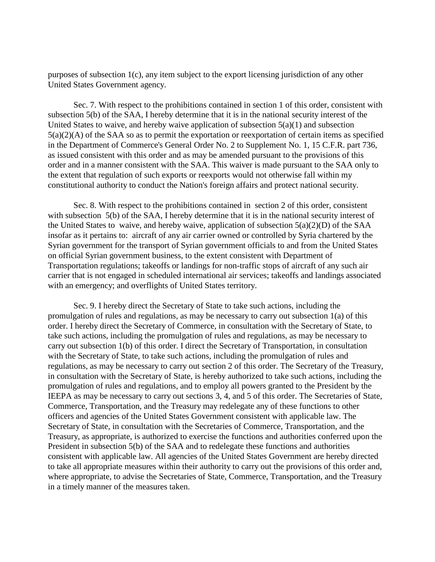purposes of subsection  $1(c)$ , any item subject to the export licensing jurisdiction of any other United States Government agency.

Sec. 7. With respect to the prohibitions contained in section 1 of this order, consistent with subsection 5(b) of the SAA, I hereby determine that it is in the national security interest of the United States to waive, and hereby waive application of subsection  $5(a)(1)$  and subsection 5(a)(2)(A) of the SAA so as to permit the exportation or reexportation of certain items as specified in the Department of Commerce's General Order No. 2 to Supplement No. 1, 15 C.F.R. part 736, as issued consistent with this order and as may be amended pursuant to the provisions of this order and in a manner consistent with the SAA. This waiver is made pursuant to the SAA only to the extent that regulation of such exports or reexports would not otherwise fall within my constitutional authority to conduct the Nation's foreign affairs and protect national security.

Sec. 8. With respect to the prohibitions contained in section 2 of this order, consistent with subsection 5(b) of the SAA, I hereby determine that it is in the national security interest of the United States to waive, and hereby waive, application of subsection 5(a)(2)(D) of the SAA insofar as it pertains to: aircraft of any air carrier owned or controlled by Syria chartered by the Syrian government for the transport of Syrian government officials to and from the United States on official Syrian government business, to the extent consistent with Department of Transportation regulations; takeoffs or landings for non-traffic stops of aircraft of any such air carrier that is not engaged in scheduled international air services; takeoffs and landings associated with an emergency; and overflights of United States territory.

Sec. 9. I hereby direct the Secretary of State to take such actions, including the promulgation of rules and regulations, as may be necessary to carry out subsection 1(a) of this order. I hereby direct the Secretary of Commerce, in consultation with the Secretary of State, to take such actions, including the promulgation of rules and regulations, as may be necessary to carry out subsection 1(b) of this order. I direct the Secretary of Transportation, in consultation with the Secretary of State, to take such actions, including the promulgation of rules and regulations, as may be necessary to carry out section 2 of this order. The Secretary of the Treasury, in consultation with the Secretary of State, is hereby authorized to take such actions, including the promulgation of rules and regulations, and to employ all powers granted to the President by the IEEPA as may be necessary to carry out sections 3, 4, and 5 of this order. The Secretaries of State, Commerce, Transportation, and the Treasury may redelegate any of these functions to other officers and agencies of the United States Government consistent with applicable law. The Secretary of State, in consultation with the Secretaries of Commerce, Transportation, and the Treasury, as appropriate, is authorized to exercise the functions and authorities conferred upon the President in subsection 5(b) of the SAA and to redelegate these functions and authorities consistent with applicable law. All agencies of the United States Government are hereby directed to take all appropriate measures within their authority to carry out the provisions of this order and, where appropriate, to advise the Secretaries of State, Commerce, Transportation, and the Treasury in a timely manner of the measures taken.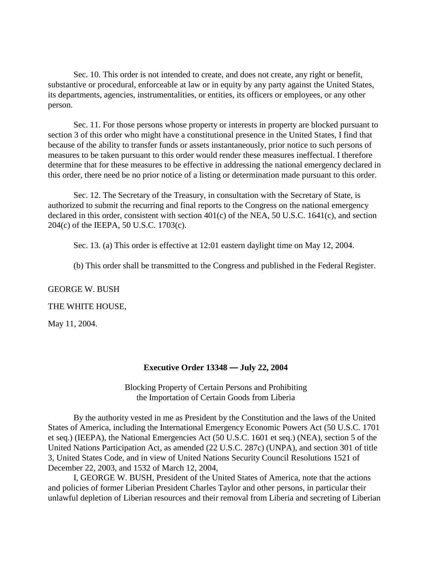Sec. 10. This order is not intended to create, and does not create, any right or benefit, substantive or procedural, enforceable at law or in equity by any party against the United States, its departments, agencies, instrumentalities, or entities, its officers or employees, or any other person.

Sec. 11. For those persons whose property or interests in property are blocked pursuant to section 3 of this order who might have a constitutional presence in the United States, I find that because of the ability to transfer funds or assets instantaneously, prior notice to such persons of measures to be taken pursuant to this order would render these measures ineffectual. I therefore determine that for these measures to be effective in addressing the national emergency declared in this order, there need be no prior notice of a listing or determination made pursuant to this order.

Sec. 12. The Secretary of the Treasury, in consultation with the Secretary of State, is authorized to submit the recurring and final reports to the Congress on the national emergency declared in this order, consistent with section 401(c) of the NEA, 50 U.S.C. 1641(c), and section 204(c) of the IEEPA, 50 U.S.C. 1703(c).

Sec. 13. (a) This order is effective at 12:01 eastern daylight time on May 12, 2004.

(b) This order shall be transmitted to the Congress and published in the Federal Register.

### GEORGE W. BUSH

THE WHITE HOUSE,

May 11, 2004.

#### **Executive Order 13348 — July 22, 2004**

Blocking Property of Certain Persons and Prohibiting the Importation of Certain Goods from Liberia

By the authority vested in me as President by the Constitution and the laws of the United States of America, including the International Emergency Economic Powers Act (50 U.S.C. 1701 et seq.) (IEEPA), the National Emergencies Act (50 U.S.C. 1601 et seq.) (NEA), section 5 of the United Nations Participation Act, as amended (22 U.S.C. 287c) (UNPA), and section 301 of title 3, United States Code, and in view of United Nations Security Council Resolutions 1521 of December 22, 2003, and 1532 of March 12, 2004,

I, GEORGE W. BUSH, President of the United States of America, note that the actions and policies of former Liberian President Charles Taylor and other persons, in particular their unlawful depletion of Liberian resources and their removal from Liberia and secreting of Liberian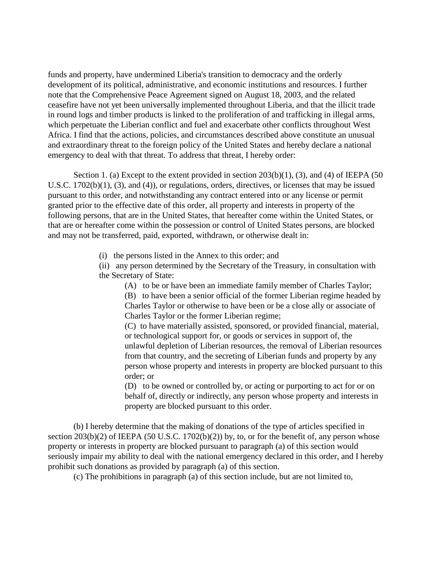funds and property, have undermined Liberia's transition to democracy and the orderly development of its political, administrative, and economic institutions and resources. I further note that the Comprehensive Peace Agreement signed on August 18, 2003, and the related ceasefire have not yet been universally implemented throughout Liberia, and that the illicit trade in round logs and timber products is linked to the proliferation of and trafficking in illegal arms, which perpetuate the Liberian conflict and fuel and exacerbate other conflicts throughout West Africa. I find that the actions, policies, and circumstances described above constitute an unusual and extraordinary threat to the foreign policy of the United States and hereby declare a national emergency to deal with that threat. To address that threat, I hereby order:

Section 1. (a) Except to the extent provided in section  $203(b)(1)$ , (3), and (4) of IEEPA (50 U.S.C. 1702(b)(1), (3), and (4)), or regulations, orders, directives, or licenses that may be issued pursuant to this order, and notwithstanding any contract entered into or any license or permit granted prior to the effective date of this order, all property and interests in property of the following persons, that are in the United States, that hereafter come within the United States, or that are or hereafter come within the possession or control of United States persons, are blocked and may not be transferred, paid, exported, withdrawn, or otherwise dealt in:

(i) the persons listed in the Annex to this order; and

(ii) any person determined by the Secretary of the Treasury, in consultation with the Secretary of State:

(A) to be or have been an immediate family member of Charles Taylor;

(B) to have been a senior official of the former Liberian regime headed by Charles Taylor or otherwise to have been or be a close ally or associate of Charles Taylor or the former Liberian regime;

(C) to have materially assisted, sponsored, or provided financial, material, or technological support for, or goods or services in support of, the unlawful depletion of Liberian resources, the removal of Liberian resources from that country, and the secreting of Liberian funds and property by any person whose property and interests in property are blocked pursuant to this order; or

(D) to be owned or controlled by, or acting or purporting to act for or on behalf of, directly or indirectly, any person whose property and interests in property are blocked pursuant to this order.

(b) I hereby determine that the making of donations of the type of articles specified in section 203(b)(2) of IEEPA (50 U.S.C. 1702(b)(2)) by, to, or for the benefit of, any person whose property or interests in property are blocked pursuant to paragraph (a) of this section would seriously impair my ability to deal with the national emergency declared in this order, and I hereby prohibit such donations as provided by paragraph (a) of this section.

(c) The prohibitions in paragraph (a) of this section include, but are not limited to,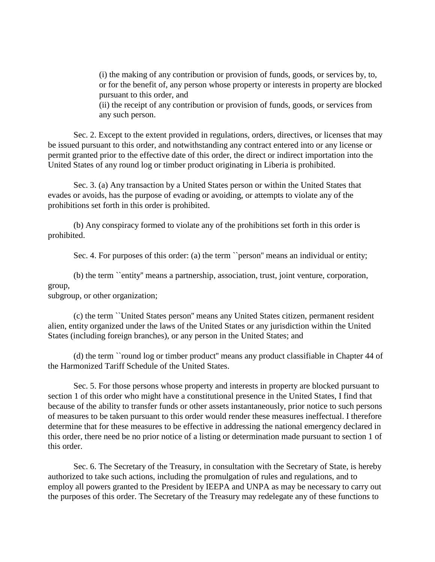(i) the making of any contribution or provision of funds, goods, or services by, to, or for the benefit of, any person whose property or interests in property are blocked pursuant to this order, and

(ii) the receipt of any contribution or provision of funds, goods, or services from any such person.

Sec. 2. Except to the extent provided in regulations, orders, directives, or licenses that may be issued pursuant to this order, and notwithstanding any contract entered into or any license or permit granted prior to the effective date of this order, the direct or indirect importation into the United States of any round log or timber product originating in Liberia is prohibited.

Sec. 3. (a) Any transaction by a United States person or within the United States that evades or avoids, has the purpose of evading or avoiding, or attempts to violate any of the prohibitions set forth in this order is prohibited.

(b) Any conspiracy formed to violate any of the prohibitions set forth in this order is prohibited.

Sec. 4. For purposes of this order: (a) the term "person" means an individual or entity;

(b) the term ``entity'' means a partnership, association, trust, joint venture, corporation, group,

subgroup, or other organization;

(c) the term ``United States person'' means any United States citizen, permanent resident alien, entity organized under the laws of the United States or any jurisdiction within the United States (including foreign branches), or any person in the United States; and

(d) the term ``round log or timber product'' means any product classifiable in Chapter 44 of the Harmonized Tariff Schedule of the United States.

Sec. 5. For those persons whose property and interests in property are blocked pursuant to section 1 of this order who might have a constitutional presence in the United States, I find that because of the ability to transfer funds or other assets instantaneously, prior notice to such persons of measures to be taken pursuant to this order would render these measures ineffectual. I therefore determine that for these measures to be effective in addressing the national emergency declared in this order, there need be no prior notice of a listing or determination made pursuant to section 1 of this order.

Sec. 6. The Secretary of the Treasury, in consultation with the Secretary of State, is hereby authorized to take such actions, including the promulgation of rules and regulations, and to employ all powers granted to the President by IEEPA and UNPA as may be necessary to carry out the purposes of this order. The Secretary of the Treasury may redelegate any of these functions to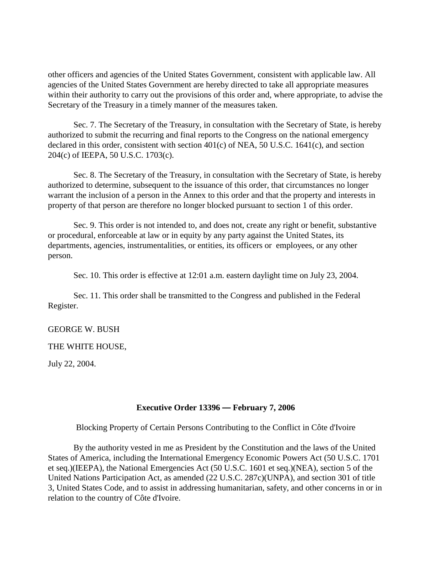other officers and agencies of the United States Government, consistent with applicable law. All agencies of the United States Government are hereby directed to take all appropriate measures within their authority to carry out the provisions of this order and, where appropriate, to advise the Secretary of the Treasury in a timely manner of the measures taken.

Sec. 7. The Secretary of the Treasury, in consultation with the Secretary of State, is hereby authorized to submit the recurring and final reports to the Congress on the national emergency declared in this order, consistent with section 401(c) of NEA, 50 U.S.C. 1641(c), and section 204(c) of IEEPA, 50 U.S.C. 1703(c).

Sec. 8. The Secretary of the Treasury, in consultation with the Secretary of State, is hereby authorized to determine, subsequent to the issuance of this order, that circumstances no longer warrant the inclusion of a person in the Annex to this order and that the property and interests in property of that person are therefore no longer blocked pursuant to section 1 of this order.

Sec. 9. This order is not intended to, and does not, create any right or benefit, substantive or procedural, enforceable at law or in equity by any party against the United States, its departments, agencies, instrumentalities, or entities, its officers or employees, or any other person.

Sec. 10. This order is effective at 12:01 a.m. eastern daylight time on July 23, 2004.

Sec. 11. This order shall be transmitted to the Congress and published in the Federal Register.

# GEORGE W. BUSH

THE WHITE HOUSE,

July 22, 2004.

#### **Executive Order 13396 — February 7, 2006**

Blocking Property of Certain Persons Contributing to the Conflict in Côte d'Ivoire

By the authority vested in me as President by the Constitution and the laws of the United States of America, including the International Emergency Economic Powers Act (50 U.S.C. 1701 et seq.)(IEEPA), the National Emergencies Act (50 U.S.C. 1601 et seq.)(NEA), section 5 of the United Nations Participation Act, as amended (22 U.S.C. 287c)(UNPA), and section 301 of title 3, United States Code, and to assist in addressing humanitarian, safety, and other concerns in or in relation to the country of Côte d'Ivoire.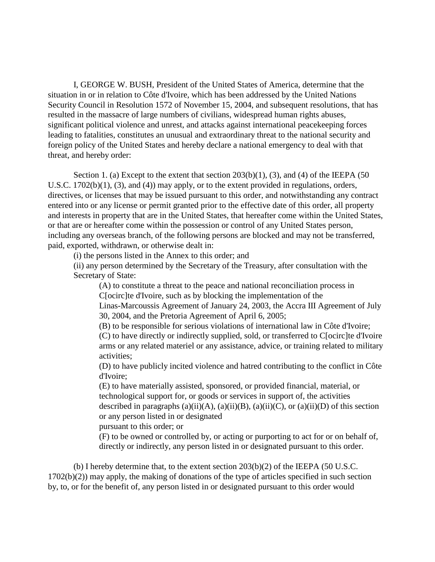I, GEORGE W. BUSH, President of the United States of America, determine that the situation in or in relation to Côte d'Ivoire, which has been addressed by the United Nations Security Council in Resolution 1572 of November 15, 2004, and subsequent resolutions, that has resulted in the massacre of large numbers of civilians, widespread human rights abuses, significant political violence and unrest, and attacks against international peacekeeping forces leading to fatalities, constitutes an unusual and extraordinary threat to the national security and foreign policy of the United States and hereby declare a national emergency to deal with that threat, and hereby order:

Section 1. (a) Except to the extent that section  $203(b)(1)$ , (3), and (4) of the IEEPA (50 U.S.C. 1702(b)(1), (3), and (4)) may apply, or to the extent provided in regulations, orders, directives, or licenses that may be issued pursuant to this order, and notwithstanding any contract entered into or any license or permit granted prior to the effective date of this order, all property and interests in property that are in the United States, that hereafter come within the United States, or that are or hereafter come within the possession or control of any United States person, including any overseas branch, of the following persons are blocked and may not be transferred, paid, exported, withdrawn, or otherwise dealt in:

(i) the persons listed in the Annex to this order; and

(ii) any person determined by the Secretary of the Treasury, after consultation with the Secretary of State:

(A) to constitute a threat to the peace and national reconciliation process in C[ocirc]te d'Ivoire, such as by blocking the implementation of the Linas-Marcoussis Agreement of January 24, 2003, the Accra III Agreement of July

30, 2004, and the Pretoria Agreement of April 6, 2005;

(B) to be responsible for serious violations of international law in Côte d'Ivoire; (C) to have directly or indirectly supplied, sold, or transferred to C[ocirc]te d'Ivoire arms or any related materiel or any assistance, advice, or training related to military activities;

(D) to have publicly incited violence and hatred contributing to the conflict in Côte d'Ivoire;

(E) to have materially assisted, sponsored, or provided financial, material, or technological support for, or goods or services in support of, the activities described in paragraphs (a)(ii)(A), (a)(ii)(B), (a)(ii)(C), or (a)(ii)(D) of this section or any person listed in or designated

pursuant to this order; or

(F) to be owned or controlled by, or acting or purporting to act for or on behalf of, directly or indirectly, any person listed in or designated pursuant to this order.

(b) I hereby determine that, to the extent section 203(b)(2) of the IEEPA (50 U.S.C. 1702(b)(2)) may apply, the making of donations of the type of articles specified in such section by, to, or for the benefit of, any person listed in or designated pursuant to this order would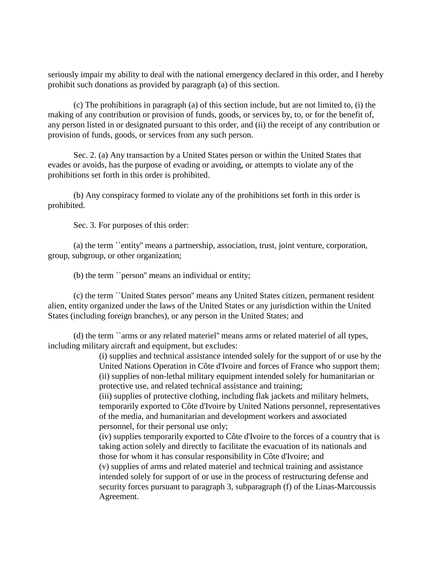seriously impair my ability to deal with the national emergency declared in this order, and I hereby prohibit such donations as provided by paragraph (a) of this section.

(c) The prohibitions in paragraph (a) of this section include, but are not limited to, (i) the making of any contribution or provision of funds, goods, or services by, to, or for the benefit of, any person listed in or designated pursuant to this order, and (ii) the receipt of any contribution or provision of funds, goods, or services from any such person.

Sec. 2. (a) Any transaction by a United States person or within the United States that evades or avoids, has the purpose of evading or avoiding, or attempts to violate any of the prohibitions set forth in this order is prohibited.

(b) Any conspiracy formed to violate any of the prohibitions set forth in this order is prohibited.

Sec. 3. For purposes of this order:

(a) the term ``entity'' means a partnership, association, trust, joint venture, corporation, group, subgroup, or other organization;

(b) the term ``person'' means an individual or entity;

(c) the term ``United States person'' means any United States citizen, permanent resident alien, entity organized under the laws of the United States or any jurisdiction within the United States (including foreign branches), or any person in the United States; and

(d) the term ``arms or any related materiel'' means arms or related materiel of all types, including military aircraft and equipment, but excludes:

> (i) supplies and technical assistance intended solely for the support of or use by the United Nations Operation in Côte d'Ivoire and forces of France who support them; (ii) supplies of non-lethal military equipment intended solely for humanitarian or protective use, and related technical assistance and training;

> (iii) supplies of protective clothing, including flak jackets and military helmets, temporarily exported to Côte d'Ivoire by United Nations personnel, representatives of the media, and humanitarian and development workers and associated personnel, for their personal use only;

> (iv) supplies temporarily exported to Côte d'Ivoire to the forces of a country that is taking action solely and directly to facilitate the evacuation of its nationals and those for whom it has consular responsibility in Côte d'Ivoire; and (v) supplies of arms and related materiel and technical training and assistance intended solely for support of or use in the process of restructuring defense and

security forces pursuant to paragraph 3, subparagraph (f) of the Linas-Marcoussis Agreement.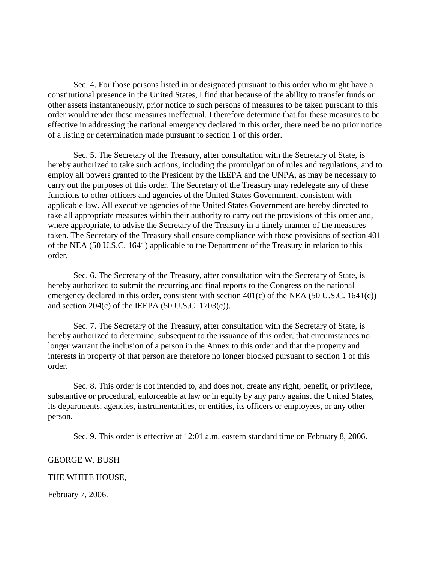Sec. 4. For those persons listed in or designated pursuant to this order who might have a constitutional presence in the United States, I find that because of the ability to transfer funds or other assets instantaneously, prior notice to such persons of measures to be taken pursuant to this order would render these measures ineffectual. I therefore determine that for these measures to be effective in addressing the national emergency declared in this order, there need be no prior notice of a listing or determination made pursuant to section 1 of this order.

Sec. 5. The Secretary of the Treasury, after consultation with the Secretary of State, is hereby authorized to take such actions, including the promulgation of rules and regulations, and to employ all powers granted to the President by the IEEPA and the UNPA, as may be necessary to carry out the purposes of this order. The Secretary of the Treasury may redelegate any of these functions to other officers and agencies of the United States Government, consistent with applicable law. All executive agencies of the United States Government are hereby directed to take all appropriate measures within their authority to carry out the provisions of this order and, where appropriate, to advise the Secretary of the Treasury in a timely manner of the measures taken. The Secretary of the Treasury shall ensure compliance with those provisions of section 401 of the NEA (50 U.S.C. 1641) applicable to the Department of the Treasury in relation to this order.

Sec. 6. The Secretary of the Treasury, after consultation with the Secretary of State, is hereby authorized to submit the recurring and final reports to the Congress on the national emergency declared in this order, consistent with section 401(c) of the NEA (50 U.S.C. 1641(c)) and section 204(c) of the IEEPA (50 U.S.C. 1703(c)).

Sec. 7. The Secretary of the Treasury, after consultation with the Secretary of State, is hereby authorized to determine, subsequent to the issuance of this order, that circumstances no longer warrant the inclusion of a person in the Annex to this order and that the property and interests in property of that person are therefore no longer blocked pursuant to section 1 of this order.

Sec. 8. This order is not intended to, and does not, create any right, benefit, or privilege, substantive or procedural, enforceable at law or in equity by any party against the United States, its departments, agencies, instrumentalities, or entities, its officers or employees, or any other person.

Sec. 9. This order is effective at 12:01 a.m. eastern standard time on February 8, 2006.

# GEORGE W. BUSH

#### THE WHITE HOUSE,

February 7, 2006.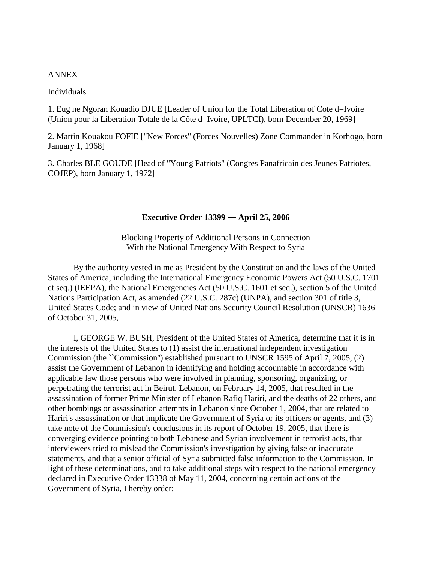# ANNEX

Individuals

1. Eug ne Ngoran Kouadio DJUE [Leader of Union for the Total Liberation of Cote d=Ivoire (Union pour la Liberation Totale de la Côte d=Ivoire, UPLTCI), born December 20, 1969]

2. Martin Kouakou FOFIE ["New Forces" (Forces Nouvelles) Zone Commander in Korhogo, born January 1, 1968]

3. Charles BLE GOUDE [Head of "Young Patriots" (Congres Panafricain des Jeunes Patriotes, COJEP), born January 1, 1972]

# **Executive Order 13399 — April 25, 2006**

Blocking Property of Additional Persons in Connection With the National Emergency With Respect to Syria

By the authority vested in me as President by the Constitution and the laws of the United States of America, including the International Emergency Economic Powers Act (50 U.S.C. 1701 et seq.) (IEEPA), the National Emergencies Act (50 U.S.C. 1601 et seq.), section 5 of the United Nations Participation Act, as amended (22 U.S.C. 287c) (UNPA), and section 301 of title 3, United States Code; and in view of United Nations Security Council Resolution (UNSCR) 1636 of October 31, 2005,

I, GEORGE W. BUSH, President of the United States of America, determine that it is in the interests of the United States to (1) assist the international independent investigation Commission (the ``Commission'') established pursuant to UNSCR 1595 of April 7, 2005, (2) assist the Government of Lebanon in identifying and holding accountable in accordance with applicable law those persons who were involved in planning, sponsoring, organizing, or perpetrating the terrorist act in Beirut, Lebanon, on February 14, 2005, that resulted in the assassination of former Prime Minister of Lebanon Rafiq Hariri, and the deaths of 22 others, and other bombings or assassination attempts in Lebanon since October 1, 2004, that are related to Hariri's assassination or that implicate the Government of Syria or its officers or agents, and (3) take note of the Commission's conclusions in its report of October 19, 2005, that there is converging evidence pointing to both Lebanese and Syrian involvement in terrorist acts, that interviewees tried to mislead the Commission's investigation by giving false or inaccurate statements, and that a senior official of Syria submitted false information to the Commission. In light of these determinations, and to take additional steps with respect to the national emergency declared in Executive Order 13338 of May 11, 2004, concerning certain actions of the Government of Syria, I hereby order: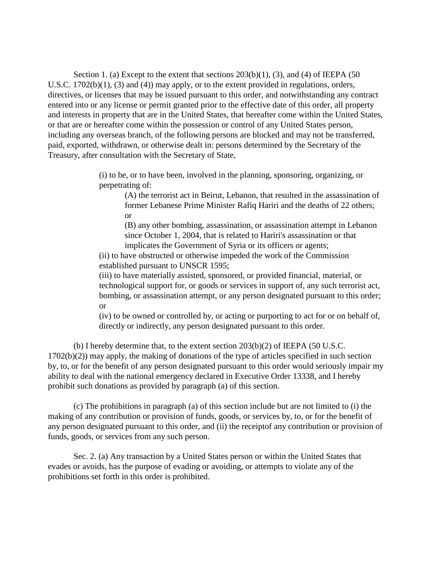Section 1. (a) Except to the extent that sections  $203(b)(1)$ , (3), and (4) of IEEPA (50 U.S.C. 1702(b)(1), (3) and (4)) may apply, or to the extent provided in regulations, orders, directives, or licenses that may be issued pursuant to this order, and notwithstanding any contract entered into or any license or permit granted prior to the effective date of this order, all property and interests in property that are in the United States, that hereafter come within the United States, or that are or hereafter come within the possession or control of any United States person, including any overseas branch, of the following persons are blocked and may not be transferred, paid, exported, withdrawn, or otherwise dealt in: persons determined by the Secretary of the Treasury, after consultation with the Secretary of State,

> (i) to be, or to have been, involved in the planning, sponsoring, organizing, or perpetrating of:

(A) the terrorist act in Beirut, Lebanon, that resulted in the assassination of former Lebanese Prime Minister Rafiq Hariri and the deaths of 22 others; or

(B) any other bombing, assassination, or assassination attempt in Lebanon since October 1, 2004, that is related to Hariri's assassination or that implicates the Government of Syria or its officers or agents;

(ii) to have obstructed or otherwise impeded the work of the Commission established pursuant to UNSCR 1595;

(iii) to have materially assisted, sponsored, or provided financial, material, or technological support for, or goods or services in support of, any such terrorist act, bombing, or assassination attempt, or any person designated pursuant to this order; or

(iv) to be owned or controlled by, or acting or purporting to act for or on behalf of, directly or indirectly, any person designated pursuant to this order.

(b) I hereby determine that, to the extent section  $203(b)(2)$  of IEEPA (50 U.S.C. 1702(b)(2)) may apply, the making of donations of the type of articles specified in such section by, to, or for the benefit of any person designated pursuant to this order would seriously impair my ability to deal with the national emergency declared in Executive Order 13338, and I hereby prohibit such donations as provided by paragraph (a) of this section.

(c) The prohibitions in paragraph (a) of this section include but are not limited to (i) the making of any contribution or provision of funds, goods, or services by, to, or for the benefit of any person designated pursuant to this order, and (ii) the receiptof any contribution or provision of funds, goods, or services from any such person.

Sec. 2. (a) Any transaction by a United States person or within the United States that evades or avoids, has the purpose of evading or avoiding, or attempts to violate any of the prohibitions set forth in this order is prohibited.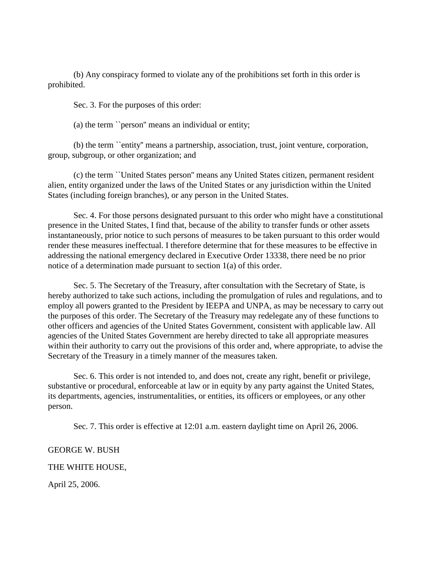(b) Any conspiracy formed to violate any of the prohibitions set forth in this order is prohibited.

Sec. 3. For the purposes of this order:

(a) the term ``person'' means an individual or entity;

(b) the term ``entity'' means a partnership, association, trust, joint venture, corporation, group, subgroup, or other organization; and

(c) the term ``United States person'' means any United States citizen, permanent resident alien, entity organized under the laws of the United States or any jurisdiction within the United States (including foreign branches), or any person in the United States.

Sec. 4. For those persons designated pursuant to this order who might have a constitutional presence in the United States, I find that, because of the ability to transfer funds or other assets instantaneously, prior notice to such persons of measures to be taken pursuant to this order would render these measures ineffectual. I therefore determine that for these measures to be effective in addressing the national emergency declared in Executive Order 13338, there need be no prior notice of a determination made pursuant to section 1(a) of this order.

Sec. 5. The Secretary of the Treasury, after consultation with the Secretary of State, is hereby authorized to take such actions, including the promulgation of rules and regulations, and to employ all powers granted to the President by IEEPA and UNPA, as may be necessary to carry out the purposes of this order. The Secretary of the Treasury may redelegate any of these functions to other officers and agencies of the United States Government, consistent with applicable law. All agencies of the United States Government are hereby directed to take all appropriate measures within their authority to carry out the provisions of this order and, where appropriate, to advise the Secretary of the Treasury in a timely manner of the measures taken.

Sec. 6. This order is not intended to, and does not, create any right, benefit or privilege, substantive or procedural, enforceable at law or in equity by any party against the United States, its departments, agencies, instrumentalities, or entities, its officers or employees, or any other person.

Sec. 7. This order is effective at 12:01 a.m. eastern daylight time on April 26, 2006.

#### GEORGE W. BUSH

# THE WHITE HOUSE,

April 25, 2006.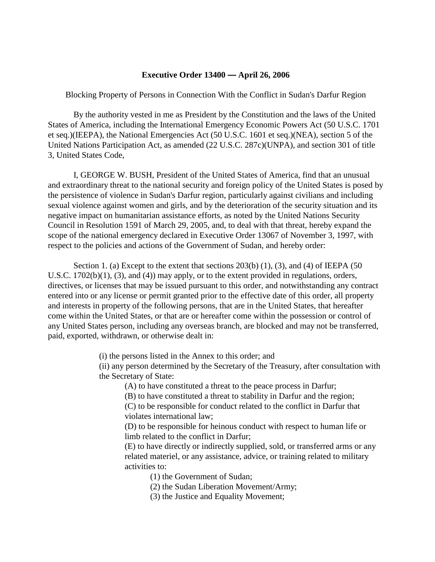### **Executive Order 13400 — April 26, 2006**

Blocking Property of Persons in Connection With the Conflict in Sudan's Darfur Region

By the authority vested in me as President by the Constitution and the laws of the United States of America, including the International Emergency Economic Powers Act (50 U.S.C. 1701 et seq.)(IEEPA), the National Emergencies Act (50 U.S.C. 1601 et seq.)(NEA), section 5 of the United Nations Participation Act, as amended (22 U.S.C. 287c)(UNPA), and section 301 of title 3, United States Code,

I, GEORGE W. BUSH, President of the United States of America, find that an unusual and extraordinary threat to the national security and foreign policy of the United States is posed by the persistence of violence in Sudan's Darfur region, particularly against civilians and including sexual violence against women and girls, and by the deterioration of the security situation and its negative impact on humanitarian assistance efforts, as noted by the United Nations Security Council in Resolution 1591 of March 29, 2005, and, to deal with that threat, hereby expand the scope of the national emergency declared in Executive Order 13067 of November 3, 1997, with respect to the policies and actions of the Government of Sudan, and hereby order:

Section 1. (a) Except to the extent that sections  $203(b)$  (1), (3), and (4) of IEEPA (50 U.S.C. 1702(b)(1), (3), and (4)) may apply, or to the extent provided in regulations, orders, directives, or licenses that may be issued pursuant to this order, and notwithstanding any contract entered into or any license or permit granted prior to the effective date of this order, all property and interests in property of the following persons, that are in the United States, that hereafter come within the United States, or that are or hereafter come within the possession or control of any United States person, including any overseas branch, are blocked and may not be transferred, paid, exported, withdrawn, or otherwise dealt in:

(i) the persons listed in the Annex to this order; and

(ii) any person determined by the Secretary of the Treasury, after consultation with the Secretary of State:

(A) to have constituted a threat to the peace process in Darfur;

(B) to have constituted a threat to stability in Darfur and the region;

(C) to be responsible for conduct related to the conflict in Darfur that violates international law;

(D) to be responsible for heinous conduct with respect to human life or limb related to the conflict in Darfur;

(E) to have directly or indirectly supplied, sold, or transferred arms or any related materiel, or any assistance, advice, or training related to military activities to:

(1) the Government of Sudan;

(2) the Sudan Liberation Movement/Army;

(3) the Justice and Equality Movement;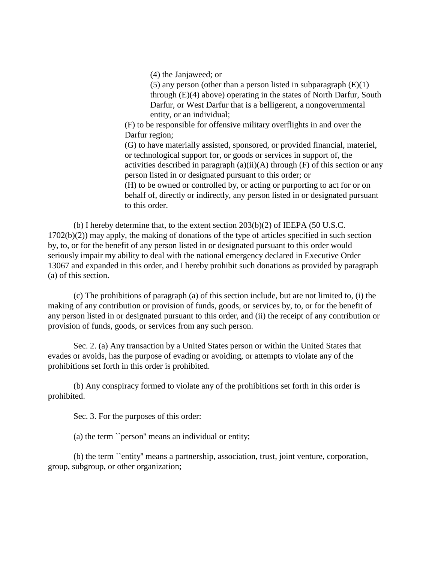(4) the Janjaweed; or

(5) any person (other than a person listed in subparagraph  $(E)(1)$ through (E)(4) above) operating in the states of North Darfur, South Darfur, or West Darfur that is a belligerent, a nongovernmental entity, or an individual;

(F) to be responsible for offensive military overflights in and over the Darfur region;

(G) to have materially assisted, sponsored, or provided financial, materiel, or technological support for, or goods or services in support of, the activities described in paragraph  $(a)(ii)(A)$  through  $(F)$  of this section or any person listed in or designated pursuant to this order; or (H) to be owned or controlled by, or acting or purporting to act for or on behalf of, directly or indirectly, any person listed in or designated pursuant to this order.

(b) I hereby determine that, to the extent section  $203(b)(2)$  of IEEPA (50 U.S.C. 1702(b)(2)) may apply, the making of donations of the type of articles specified in such section by, to, or for the benefit of any person listed in or designated pursuant to this order would seriously impair my ability to deal with the national emergency declared in Executive Order 13067 and expanded in this order, and I hereby prohibit such donations as provided by paragraph (a) of this section.

(c) The prohibitions of paragraph (a) of this section include, but are not limited to, (i) the making of any contribution or provision of funds, goods, or services by, to, or for the benefit of any person listed in or designated pursuant to this order, and (ii) the receipt of any contribution or provision of funds, goods, or services from any such person.

Sec. 2. (a) Any transaction by a United States person or within the United States that evades or avoids, has the purpose of evading or avoiding, or attempts to violate any of the prohibitions set forth in this order is prohibited.

(b) Any conspiracy formed to violate any of the prohibitions set forth in this order is prohibited.

Sec. 3. For the purposes of this order:

(a) the term ``person'' means an individual or entity;

(b) the term ``entity'' means a partnership, association, trust, joint venture, corporation, group, subgroup, or other organization;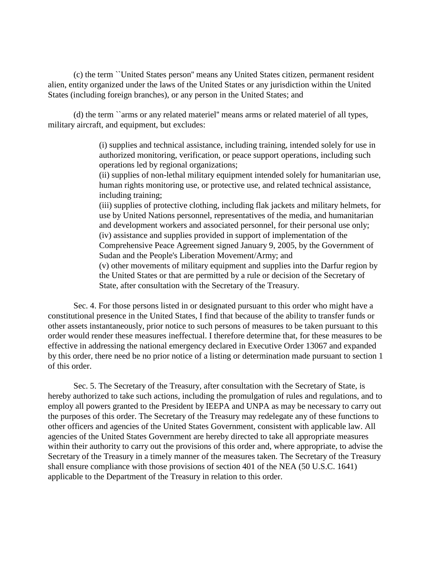(c) the term ``United States person'' means any United States citizen, permanent resident alien, entity organized under the laws of the United States or any jurisdiction within the United States (including foreign branches), or any person in the United States; and

(d) the term ``arms or any related materiel'' means arms or related materiel of all types, military aircraft, and equipment, but excludes:

> (i) supplies and technical assistance, including training, intended solely for use in authorized monitoring, verification, or peace support operations, including such operations led by regional organizations;

(ii) supplies of non-lethal military equipment intended solely for humanitarian use, human rights monitoring use, or protective use, and related technical assistance, including training;

(iii) supplies of protective clothing, including flak jackets and military helmets, for use by United Nations personnel, representatives of the media, and humanitarian and development workers and associated personnel, for their personal use only; (iv) assistance and supplies provided in support of implementation of the Comprehensive Peace Agreement signed January 9, 2005, by the Government of Sudan and the People's Liberation Movement/Army; and

(v) other movements of military equipment and supplies into the Darfur region by the United States or that are permitted by a rule or decision of the Secretary of State, after consultation with the Secretary of the Treasury.

Sec. 4. For those persons listed in or designated pursuant to this order who might have a constitutional presence in the United States, I find that because of the ability to transfer funds or other assets instantaneously, prior notice to such persons of measures to be taken pursuant to this order would render these measures ineffectual. I therefore determine that, for these measures to be effective in addressing the national emergency declared in Executive Order 13067 and expanded by this order, there need be no prior notice of a listing or determination made pursuant to section 1 of this order.

Sec. 5. The Secretary of the Treasury, after consultation with the Secretary of State, is hereby authorized to take such actions, including the promulgation of rules and regulations, and to employ all powers granted to the President by IEEPA and UNPA as may be necessary to carry out the purposes of this order. The Secretary of the Treasury may redelegate any of these functions to other officers and agencies of the United States Government, consistent with applicable law. All agencies of the United States Government are hereby directed to take all appropriate measures within their authority to carry out the provisions of this order and, where appropriate, to advise the Secretary of the Treasury in a timely manner of the measures taken. The Secretary of the Treasury shall ensure compliance with those provisions of section 401 of the NEA (50 U.S.C. 1641) applicable to the Department of the Treasury in relation to this order.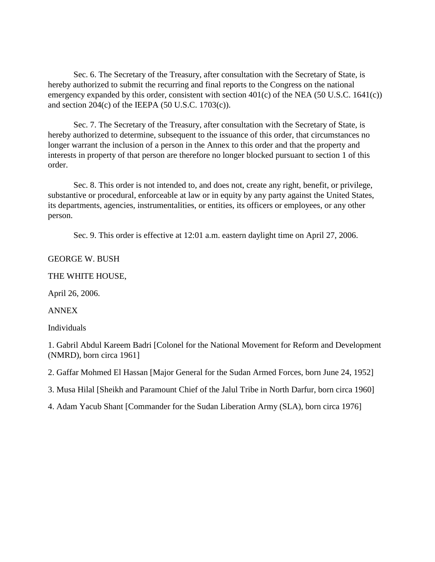Sec. 6. The Secretary of the Treasury, after consultation with the Secretary of State, is hereby authorized to submit the recurring and final reports to the Congress on the national emergency expanded by this order, consistent with section  $401(c)$  of the NEA (50 U.S.C. 1641(c)) and section 204(c) of the IEEPA (50 U.S.C. 1703(c)).

Sec. 7. The Secretary of the Treasury, after consultation with the Secretary of State, is hereby authorized to determine, subsequent to the issuance of this order, that circumstances no longer warrant the inclusion of a person in the Annex to this order and that the property and interests in property of that person are therefore no longer blocked pursuant to section 1 of this order.

Sec. 8. This order is not intended to, and does not, create any right, benefit, or privilege, substantive or procedural, enforceable at law or in equity by any party against the United States, its departments, agencies, instrumentalities, or entities, its officers or employees, or any other person.

Sec. 9. This order is effective at 12:01 a.m. eastern daylight time on April 27, 2006.

GEORGE W. BUSH

# THE WHITE HOUSE,

April 26, 2006.

ANNEX

Individuals

1. Gabril Abdul Kareem Badri [Colonel for the National Movement for Reform and Development (NMRD), born circa 1961]

2. Gaffar Mohmed El Hassan [Major General for the Sudan Armed Forces, born June 24, 1952]

3. Musa Hilal [Sheikh and Paramount Chief of the Jalul Tribe in North Darfur, born circa 1960]

4. Adam Yacub Shant [Commander for the Sudan Liberation Army (SLA), born circa 1976]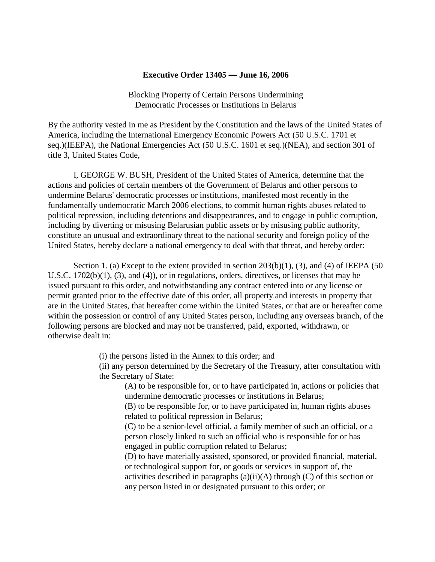#### **Executive Order 13405 — June 16, 2006**

Blocking Property of Certain Persons Undermining Democratic Processes or Institutions in Belarus

By the authority vested in me as President by the Constitution and the laws of the United States of America, including the International Emergency Economic Powers Act (50 U.S.C. 1701 et seq.)(IEEPA), the National Emergencies Act (50 U.S.C. 1601 et seq.)(NEA), and section 301 of title 3, United States Code,

I, GEORGE W. BUSH, President of the United States of America, determine that the actions and policies of certain members of the Government of Belarus and other persons to undermine Belarus' democratic processes or institutions, manifested most recently in the fundamentally undemocratic March 2006 elections, to commit human rights abuses related to political repression, including detentions and disappearances, and to engage in public corruption, including by diverting or misusing Belarusian public assets or by misusing public authority, constitute an unusual and extraordinary threat to the national security and foreign policy of the United States, hereby declare a national emergency to deal with that threat, and hereby order:

Section 1. (a) Except to the extent provided in section  $203(b)(1)$ , (3), and (4) of IEEPA (50 U.S.C. 1702(b)(1), (3), and (4)), or in regulations, orders, directives, or licenses that may be issued pursuant to this order, and notwithstanding any contract entered into or any license or permit granted prior to the effective date of this order, all property and interests in property that are in the United States, that hereafter come within the United States, or that are or hereafter come within the possession or control of any United States person, including any overseas branch, of the following persons are blocked and may not be transferred, paid, exported, withdrawn, or otherwise dealt in:

(i) the persons listed in the Annex to this order; and

(ii) any person determined by the Secretary of the Treasury, after consultation with the Secretary of State:

(A) to be responsible for, or to have participated in, actions or policies that undermine democratic processes or institutions in Belarus;

(B) to be responsible for, or to have participated in, human rights abuses related to political repression in Belarus;

(C) to be a senior-level official, a family member of such an official, or a person closely linked to such an official who is responsible for or has engaged in public corruption related to Belarus;

(D) to have materially assisted, sponsored, or provided financial, material, or technological support for, or goods or services in support of, the activities described in paragraphs  $(a)(ii)(A)$  through  $(C)$  of this section or any person listed in or designated pursuant to this order; or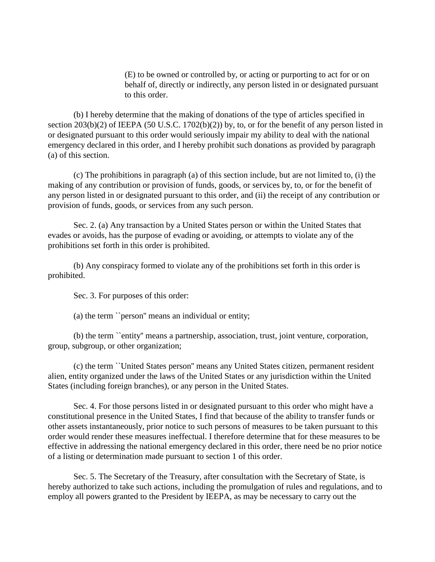(E) to be owned or controlled by, or acting or purporting to act for or on behalf of, directly or indirectly, any person listed in or designated pursuant to this order.

(b) I hereby determine that the making of donations of the type of articles specified in section 203(b)(2) of IEEPA (50 U.S.C. 1702(b)(2)) by, to, or for the benefit of any person listed in or designated pursuant to this order would seriously impair my ability to deal with the national emergency declared in this order, and I hereby prohibit such donations as provided by paragraph (a) of this section.

(c) The prohibitions in paragraph (a) of this section include, but are not limited to, (i) the making of any contribution or provision of funds, goods, or services by, to, or for the benefit of any person listed in or designated pursuant to this order, and (ii) the receipt of any contribution or provision of funds, goods, or services from any such person.

Sec. 2. (a) Any transaction by a United States person or within the United States that evades or avoids, has the purpose of evading or avoiding, or attempts to violate any of the prohibitions set forth in this order is prohibited.

(b) Any conspiracy formed to violate any of the prohibitions set forth in this order is prohibited.

Sec. 3. For purposes of this order:

(a) the term ``person'' means an individual or entity;

(b) the term ``entity'' means a partnership, association, trust, joint venture, corporation, group, subgroup, or other organization;

(c) the term ``United States person'' means any United States citizen, permanent resident alien, entity organized under the laws of the United States or any jurisdiction within the United States (including foreign branches), or any person in the United States.

Sec. 4. For those persons listed in or designated pursuant to this order who might have a constitutional presence in the United States, I find that because of the ability to transfer funds or other assets instantaneously, prior notice to such persons of measures to be taken pursuant to this order would render these measures ineffectual. I therefore determine that for these measures to be effective in addressing the national emergency declared in this order, there need be no prior notice of a listing or determination made pursuant to section 1 of this order.

Sec. 5. The Secretary of the Treasury, after consultation with the Secretary of State, is hereby authorized to take such actions, including the promulgation of rules and regulations, and to employ all powers granted to the President by IEEPA, as may be necessary to carry out the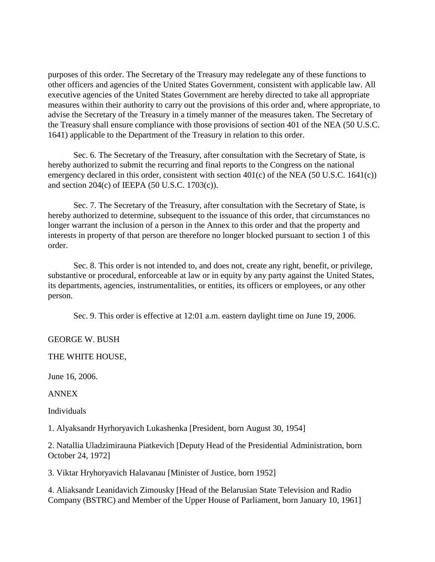purposes of this order. The Secretary of the Treasury may redelegate any of these functions to other officers and agencies of the United States Government, consistent with applicable law. All executive agencies of the United States Government are hereby directed to take all appropriate measures within their authority to carry out the provisions of this order and, where appropriate, to advise the Secretary of the Treasury in a timely manner of the measures taken. The Secretary of the Treasury shall ensure compliance with those provisions of section 401 of the NEA (50 U.S.C. 1641) applicable to the Department of the Treasury in relation to this order.

Sec. 6. The Secretary of the Treasury, after consultation with the Secretary of State, is hereby authorized to submit the recurring and final reports to the Congress on the national emergency declared in this order, consistent with section 401(c) of the NEA (50 U.S.C. 1641(c)) and section 204(c) of IEEPA (50 U.S.C. 1703(c)).

Sec. 7. The Secretary of the Treasury, after consultation with the Secretary of State, is hereby authorized to determine, subsequent to the issuance of this order, that circumstances no longer warrant the inclusion of a person in the Annex to this order and that the property and interests in property of that person are therefore no longer blocked pursuant to section 1 of this order.

Sec. 8. This order is not intended to, and does not, create any right, benefit, or privilege, substantive or procedural, enforceable at law or in equity by any party against the United States, its departments, agencies, instrumentalities, or entities, its officers or employees, or any other person.

Sec. 9. This order is effective at 12:01 a.m. eastern daylight time on June 19, 2006.

GEORGE W. BUSH

# THE WHITE HOUSE,

June 16, 2006.

ANNEX

Individuals

1. Alyaksandr Hyrhoryavich Lukashenka [President, born August 30, 1954]

2. Natallia Uladzimirauna Piatkevich [Deputy Head of the Presidential Administration, born October 24, 1972]

3. Viktar Hryhoryavich Halavanau [Minister of Justice, born 1952]

4. Aliaksandr Leanidavich Zimousky [Head of the Belarusian State Television and Radio Company (BSTRC) and Member of the Upper House of Parliament, born January 10, 1961]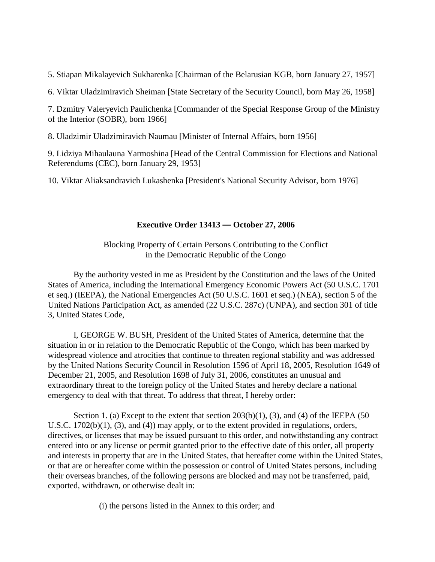5. Stiapan Mikalayevich Sukharenka [Chairman of the Belarusian KGB, born January 27, 1957]

6. Viktar Uladzimiravich Sheiman [State Secretary of the Security Council, born May 26, 1958]

7. Dzmitry Valeryevich Paulichenka [Commander of the Special Response Group of the Ministry of the Interior (SOBR), born 1966]

8. Uladzimir Uladzimiravich Naumau [Minister of Internal Affairs, born 1956]

9. Lidziya Mihaulauna Yarmoshina [Head of the Central Commission for Elections and National Referendums (CEC), born January 29, 1953]

10. Viktar Aliaksandravich Lukashenka [President's National Security Advisor, born 1976]

# **Executive Order 13413 — October 27, 2006**

# Blocking Property of Certain Persons Contributing to the Conflict in the Democratic Republic of the Congo

By the authority vested in me as President by the Constitution and the laws of the United States of America, including the International Emergency Economic Powers Act (50 U.S.C. 1701 et seq.) (IEEPA), the National Emergencies Act (50 U.S.C. 1601 et seq.) (NEA), section 5 of the United Nations Participation Act, as amended (22 U.S.C. 287c) (UNPA), and section 301 of title 3, United States Code,

I, GEORGE W. BUSH, President of the United States of America, determine that the situation in or in relation to the Democratic Republic of the Congo, which has been marked by widespread violence and atrocities that continue to threaten regional stability and was addressed by the United Nations Security Council in Resolution 1596 of April 18, 2005, Resolution 1649 of December 21, 2005, and Resolution 1698 of July 31, 2006, constitutes an unusual and extraordinary threat to the foreign policy of the United States and hereby declare a national emergency to deal with that threat. To address that threat, I hereby order:

Section 1. (a) Except to the extent that section  $203(b)(1)$ , (3), and (4) of the IEEPA (50 U.S.C. 1702(b)(1), (3), and (4)) may apply, or to the extent provided in regulations, orders, directives, or licenses that may be issued pursuant to this order, and notwithstanding any contract entered into or any license or permit granted prior to the effective date of this order, all property and interests in property that are in the United States, that hereafter come within the United States, or that are or hereafter come within the possession or control of United States persons, including their overseas branches, of the following persons are blocked and may not be transferred, paid, exported, withdrawn, or otherwise dealt in:

(i) the persons listed in the Annex to this order; and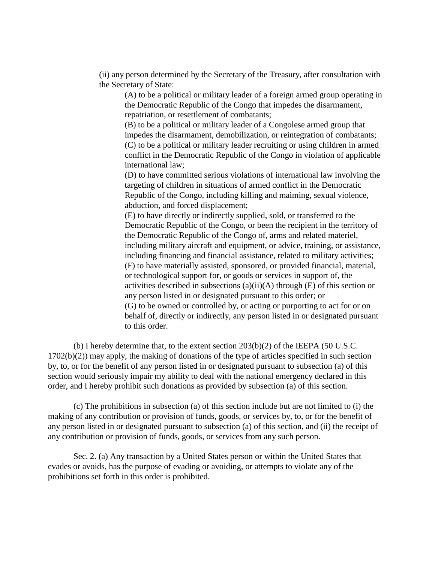(ii) any person determined by the Secretary of the Treasury, after consultation with the Secretary of State:

(A) to be a political or military leader of a foreign armed group operating in the Democratic Republic of the Congo that impedes the disarmament, repatriation, or resettlement of combatants;

(B) to be a political or military leader of a Congolese armed group that impedes the disarmament, demobilization, or reintegration of combatants; (C) to be a political or military leader recruiting or using children in armed conflict in the Democratic Republic of the Congo in violation of applicable international law;

(D) to have committed serious violations of international law involving the targeting of children in situations of armed conflict in the Democratic Republic of the Congo, including killing and maiming, sexual violence, abduction, and forced displacement;

(E) to have directly or indirectly supplied, sold, or transferred to the Democratic Republic of the Congo, or been the recipient in the territory of the Democratic Republic of the Congo of, arms and related materiel, including military aircraft and equipment, or advice, training, or assistance, including financing and financial assistance, related to military activities; (F) to have materially assisted, sponsored, or provided financial, material, or technological support for, or goods or services in support of, the activities described in subsections  $(a)(ii)(A)$  through  $(E)$  of this section or any person listed in or designated pursuant to this order; or (G) to be owned or controlled by, or acting or purporting to act for or on behalf of, directly or indirectly, any person listed in or designated pursuant to this order.

(b) I hereby determine that, to the extent section 203(b)(2) of the IEEPA (50 U.S.C. 1702(b)(2)) may apply, the making of donations of the type of articles specified in such section by, to, or for the benefit of any person listed in or designated pursuant to subsection (a) of this section would seriously impair my ability to deal with the national emergency declared in this order, and I hereby prohibit such donations as provided by subsection (a) of this section.

(c) The prohibitions in subsection (a) of this section include but are not limited to (i) the making of any contribution or provision of funds, goods, or services by, to, or for the benefit of any person listed in or designated pursuant to subsection (a) of this section, and (ii) the receipt of any contribution or provision of funds, goods, or services from any such person.

Sec. 2. (a) Any transaction by a United States person or within the United States that evades or avoids, has the purpose of evading or avoiding, or attempts to violate any of the prohibitions set forth in this order is prohibited.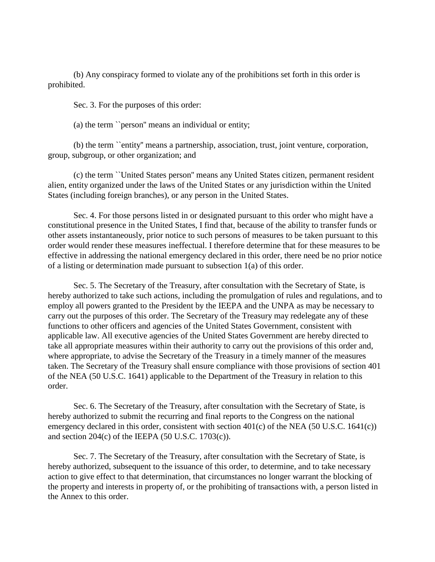(b) Any conspiracy formed to violate any of the prohibitions set forth in this order is prohibited.

Sec. 3. For the purposes of this order:

(a) the term ``person'' means an individual or entity;

(b) the term ``entity'' means a partnership, association, trust, joint venture, corporation, group, subgroup, or other organization; and

(c) the term ``United States person'' means any United States citizen, permanent resident alien, entity organized under the laws of the United States or any jurisdiction within the United States (including foreign branches), or any person in the United States.

Sec. 4. For those persons listed in or designated pursuant to this order who might have a constitutional presence in the United States, I find that, because of the ability to transfer funds or other assets instantaneously, prior notice to such persons of measures to be taken pursuant to this order would render these measures ineffectual. I therefore determine that for these measures to be effective in addressing the national emergency declared in this order, there need be no prior notice of a listing or determination made pursuant to subsection 1(a) of this order.

Sec. 5. The Secretary of the Treasury, after consultation with the Secretary of State, is hereby authorized to take such actions, including the promulgation of rules and regulations, and to employ all powers granted to the President by the IEEPA and the UNPA as may be necessary to carry out the purposes of this order. The Secretary of the Treasury may redelegate any of these functions to other officers and agencies of the United States Government, consistent with applicable law. All executive agencies of the United States Government are hereby directed to take all appropriate measures within their authority to carry out the provisions of this order and, where appropriate, to advise the Secretary of the Treasury in a timely manner of the measures taken. The Secretary of the Treasury shall ensure compliance with those provisions of section 401 of the NEA (50 U.S.C. 1641) applicable to the Department of the Treasury in relation to this order.

Sec. 6. The Secretary of the Treasury, after consultation with the Secretary of State, is hereby authorized to submit the recurring and final reports to the Congress on the national emergency declared in this order, consistent with section  $401(c)$  of the NEA (50 U.S.C. 1641(c)) and section 204(c) of the IEEPA (50 U.S.C. 1703(c)).

Sec. 7. The Secretary of the Treasury, after consultation with the Secretary of State, is hereby authorized, subsequent to the issuance of this order, to determine, and to take necessary action to give effect to that determination, that circumstances no longer warrant the blocking of the property and interests in property of, or the prohibiting of transactions with, a person listed in the Annex to this order.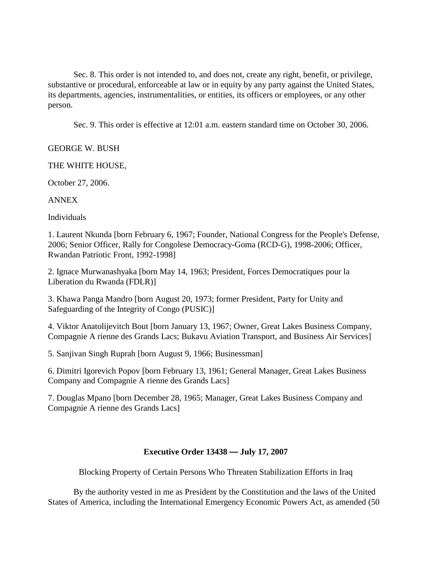Sec. 8. This order is not intended to, and does not, create any right, benefit, or privilege, substantive or procedural, enforceable at law or in equity by any party against the United States, its departments, agencies, instrumentalities, or entities, its officers or employees, or any other person.

Sec. 9. This order is effective at 12:01 a.m. eastern standard time on October 30, 2006.

GEORGE W. BUSH

THE WHITE HOUSE,

October 27, 2006.

ANNEX

Individuals

1. Laurent Nkunda [born February 6, 1967; Founder, National Congress for the People's Defense, 2006; Senior Officer, Rally for Congolese Democracy-Goma (RCD-G), 1998-2006; Officer, Rwandan Patriotic Front, 1992-1998]

2. Ignace Murwanashyaka [born May 14, 1963; President, Forces Democratiques pour la Liberation du Rwanda (FDLR)]

3. Khawa Panga Mandro [born August 20, 1973; former President, Party for Unity and Safeguarding of the Integrity of Congo (PUSIC)]

4. Viktor Anatolijevitch Bout [born January 13, 1967; Owner, Great Lakes Business Company, Compagnie A rienne des Grands Lacs; Bukavu Aviation Transport, and Business Air Services]

5. Sanjivan Singh Ruprah [born August 9, 1966; Businessman]

6. Dimitri Igorevich Popov [born February 13, 1961; General Manager, Great Lakes Business Company and Compagnie A rienne des Grands Lacs]

7. Douglas Mpano [born December 28, 1965; Manager, Great Lakes Business Company and Compagnie A rienne des Grands Lacs]

# **Executive Order 13438 — July 17, 2007**

Blocking Property of Certain Persons Who Threaten Stabilization Efforts in Iraq

By the authority vested in me as President by the Constitution and the laws of the United States of America, including the International Emergency Economic Powers Act, as amended (50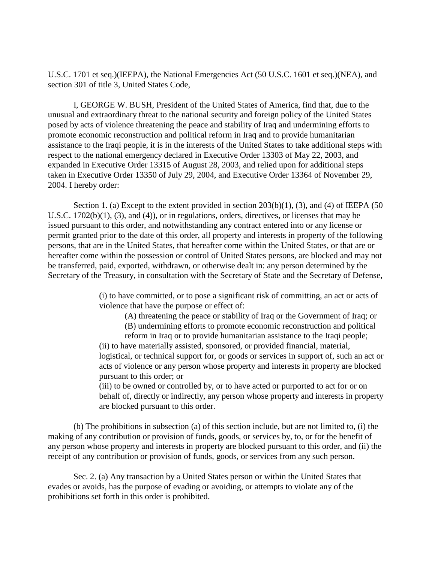U.S.C. 1701 et seq.)(IEEPA), the National Emergencies Act (50 U.S.C. 1601 et seq.)(NEA), and section 301 of title 3, United States Code,

I, GEORGE W. BUSH, President of the United States of America, find that, due to the unusual and extraordinary threat to the national security and foreign policy of the United States posed by acts of violence threatening the peace and stability of Iraq and undermining efforts to promote economic reconstruction and political reform in Iraq and to provide humanitarian assistance to the Iraqi people, it is in the interests of the United States to take additional steps with respect to the national emergency declared in Executive Order 13303 of May 22, 2003, and expanded in Executive Order 13315 of August 28, 2003, and relied upon for additional steps taken in Executive Order 13350 of July 29, 2004, and Executive Order 13364 of November 29, 2004. I hereby order:

Section 1. (a) Except to the extent provided in section  $203(b)(1)$ , (3), and (4) of IEEPA (50 U.S.C. 1702(b)(1), (3), and (4)), or in regulations, orders, directives, or licenses that may be issued pursuant to this order, and notwithstanding any contract entered into or any license or permit granted prior to the date of this order, all property and interests in property of the following persons, that are in the United States, that hereafter come within the United States, or that are or hereafter come within the possession or control of United States persons, are blocked and may not be transferred, paid, exported, withdrawn, or otherwise dealt in: any person determined by the Secretary of the Treasury, in consultation with the Secretary of State and the Secretary of Defense,

> (i) to have committed, or to pose a significant risk of committing, an act or acts of violence that have the purpose or effect of:

(A) threatening the peace or stability of Iraq or the Government of Iraq; or

(B) undermining efforts to promote economic reconstruction and political reform in Iraq or to provide humanitarian assistance to the Iraqi people; (ii) to have materially assisted, sponsored, or provided financial, material, logistical, or technical support for, or goods or services in support of, such an act or acts of violence or any person whose property and interests in property are blocked pursuant to this order; or

(iii) to be owned or controlled by, or to have acted or purported to act for or on behalf of, directly or indirectly, any person whose property and interests in property are blocked pursuant to this order.

(b) The prohibitions in subsection (a) of this section include, but are not limited to, (i) the making of any contribution or provision of funds, goods, or services by, to, or for the benefit of any person whose property and interests in property are blocked pursuant to this order, and (ii) the receipt of any contribution or provision of funds, goods, or services from any such person.

Sec. 2. (a) Any transaction by a United States person or within the United States that evades or avoids, has the purpose of evading or avoiding, or attempts to violate any of the prohibitions set forth in this order is prohibited.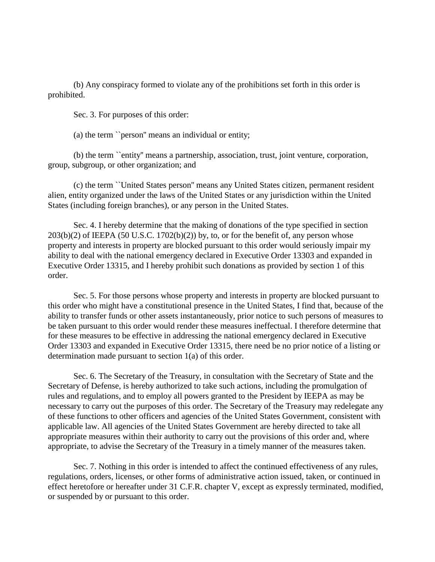(b) Any conspiracy formed to violate any of the prohibitions set forth in this order is prohibited.

Sec. 3. For purposes of this order:

(a) the term ``person'' means an individual or entity;

(b) the term ``entity'' means a partnership, association, trust, joint venture, corporation, group, subgroup, or other organization; and

(c) the term ``United States person'' means any United States citizen, permanent resident alien, entity organized under the laws of the United States or any jurisdiction within the United States (including foreign branches), or any person in the United States.

Sec. 4. I hereby determine that the making of donations of the type specified in section  $203(b)(2)$  of IEEPA (50 U.S.C. 1702 $(b)(2)$ ) by, to, or for the benefit of, any person whose property and interests in property are blocked pursuant to this order would seriously impair my ability to deal with the national emergency declared in Executive Order 13303 and expanded in Executive Order 13315, and I hereby prohibit such donations as provided by section 1 of this order.

Sec. 5. For those persons whose property and interests in property are blocked pursuant to this order who might have a constitutional presence in the United States, I find that, because of the ability to transfer funds or other assets instantaneously, prior notice to such persons of measures to be taken pursuant to this order would render these measures ineffectual. I therefore determine that for these measures to be effective in addressing the national emergency declared in Executive Order 13303 and expanded in Executive Order 13315, there need be no prior notice of a listing or determination made pursuant to section 1(a) of this order.

Sec. 6. The Secretary of the Treasury, in consultation with the Secretary of State and the Secretary of Defense, is hereby authorized to take such actions, including the promulgation of rules and regulations, and to employ all powers granted to the President by IEEPA as may be necessary to carry out the purposes of this order. The Secretary of the Treasury may redelegate any of these functions to other officers and agencies of the United States Government, consistent with applicable law. All agencies of the United States Government are hereby directed to take all appropriate measures within their authority to carry out the provisions of this order and, where appropriate, to advise the Secretary of the Treasury in a timely manner of the measures taken.

Sec. 7. Nothing in this order is intended to affect the continued effectiveness of any rules, regulations, orders, licenses, or other forms of administrative action issued, taken, or continued in effect heretofore or hereafter under 31 C.F.R. chapter V, except as expressly terminated, modified, or suspended by or pursuant to this order.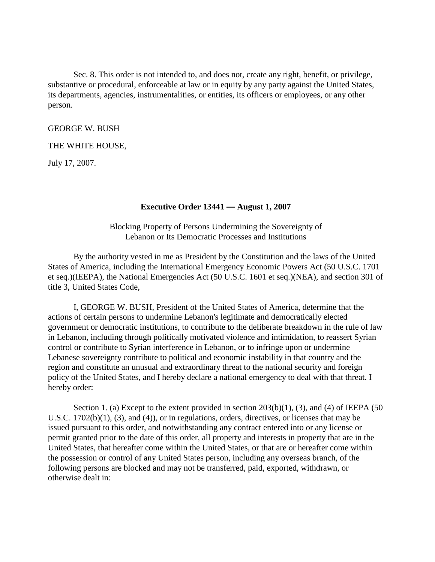Sec. 8. This order is not intended to, and does not, create any right, benefit, or privilege, substantive or procedural, enforceable at law or in equity by any party against the United States, its departments, agencies, instrumentalities, or entities, its officers or employees, or any other person.

#### GEORGE W. BUSH

#### THE WHITE HOUSE,

July 17, 2007.

#### **Executive Order 13441 — August 1, 2007**

Blocking Property of Persons Undermining the Sovereignty of Lebanon or Its Democratic Processes and Institutions

By the authority vested in me as President by the Constitution and the laws of the United States of America, including the International Emergency Economic Powers Act (50 U.S.C. 1701 et seq.)(IEEPA), the National Emergencies Act (50 U.S.C. 1601 et seq.)(NEA), and section 301 of title 3, United States Code,

I, GEORGE W. BUSH, President of the United States of America, determine that the actions of certain persons to undermine Lebanon's legitimate and democratically elected government or democratic institutions, to contribute to the deliberate breakdown in the rule of law in Lebanon, including through politically motivated violence and intimidation, to reassert Syrian control or contribute to Syrian interference in Lebanon, or to infringe upon or undermine Lebanese sovereignty contribute to political and economic instability in that country and the region and constitute an unusual and extraordinary threat to the national security and foreign policy of the United States, and I hereby declare a national emergency to deal with that threat. I hereby order:

Section 1. (a) Except to the extent provided in section  $203(b)(1)$ , (3), and (4) of IEEPA (50 U.S.C. 1702(b)(1), (3), and (4)), or in regulations, orders, directives, or licenses that may be issued pursuant to this order, and notwithstanding any contract entered into or any license or permit granted prior to the date of this order, all property and interests in property that are in the United States, that hereafter come within the United States, or that are or hereafter come within the possession or control of any United States person, including any overseas branch, of the following persons are blocked and may not be transferred, paid, exported, withdrawn, or otherwise dealt in: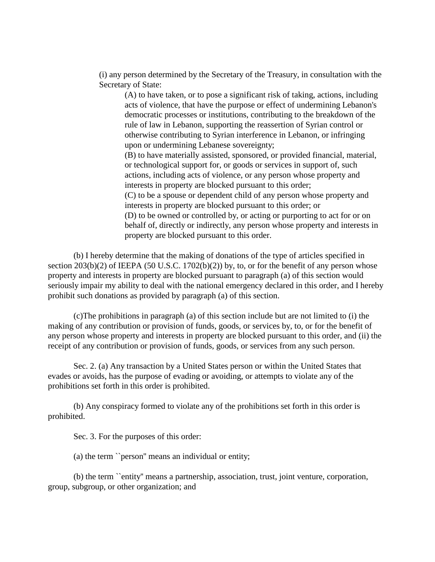(i) any person determined by the Secretary of the Treasury, in consultation with the Secretary of State:

(A) to have taken, or to pose a significant risk of taking, actions, including acts of violence, that have the purpose or effect of undermining Lebanon's democratic processes or institutions, contributing to the breakdown of the rule of law in Lebanon, supporting the reassertion of Syrian control or otherwise contributing to Syrian interference in Lebanon, or infringing upon or undermining Lebanese sovereignty;

(B) to have materially assisted, sponsored, or provided financial, material, or technological support for, or goods or services in support of, such actions, including acts of violence, or any person whose property and interests in property are blocked pursuant to this order; (C) to be a spouse or dependent child of any person whose property and interests in property are blocked pursuant to this order; or (D) to be owned or controlled by, or acting or purporting to act for or on behalf of, directly or indirectly, any person whose property and interests in property are blocked pursuant to this order.

(b) I hereby determine that the making of donations of the type of articles specified in section  $203(b)(2)$  of IEEPA (50 U.S.C. 1702 $(b)(2)$ ) by, to, or for the benefit of any person whose property and interests in property are blocked pursuant to paragraph (a) of this section would seriously impair my ability to deal with the national emergency declared in this order, and I hereby prohibit such donations as provided by paragraph (a) of this section.

(c)The prohibitions in paragraph (a) of this section include but are not limited to (i) the making of any contribution or provision of funds, goods, or services by, to, or for the benefit of any person whose property and interests in property are blocked pursuant to this order, and (ii) the receipt of any contribution or provision of funds, goods, or services from any such person.

Sec. 2. (a) Any transaction by a United States person or within the United States that evades or avoids, has the purpose of evading or avoiding, or attempts to violate any of the prohibitions set forth in this order is prohibited.

(b) Any conspiracy formed to violate any of the prohibitions set forth in this order is prohibited.

Sec. 3. For the purposes of this order:

(a) the term ``person'' means an individual or entity;

(b) the term ``entity'' means a partnership, association, trust, joint venture, corporation, group, subgroup, or other organization; and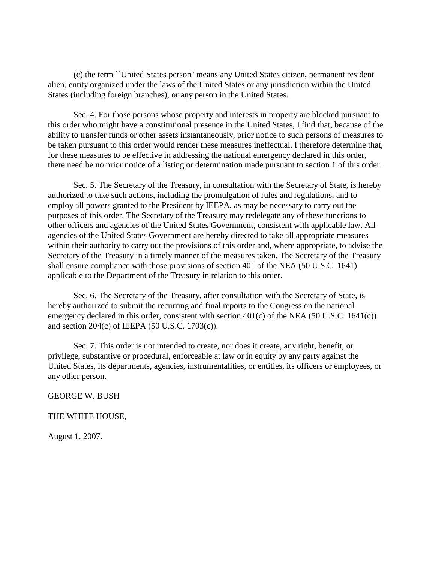(c) the term ``United States person'' means any United States citizen, permanent resident alien, entity organized under the laws of the United States or any jurisdiction within the United States (including foreign branches), or any person in the United States.

Sec. 4. For those persons whose property and interests in property are blocked pursuant to this order who might have a constitutional presence in the United States, I find that, because of the ability to transfer funds or other assets instantaneously, prior notice to such persons of measures to be taken pursuant to this order would render these measures ineffectual. I therefore determine that, for these measures to be effective in addressing the national emergency declared in this order, there need be no prior notice of a listing or determination made pursuant to section 1 of this order.

Sec. 5. The Secretary of the Treasury, in consultation with the Secretary of State, is hereby authorized to take such actions, including the promulgation of rules and regulations, and to employ all powers granted to the President by IEEPA, as may be necessary to carry out the purposes of this order. The Secretary of the Treasury may redelegate any of these functions to other officers and agencies of the United States Government, consistent with applicable law. All agencies of the United States Government are hereby directed to take all appropriate measures within their authority to carry out the provisions of this order and, where appropriate, to advise the Secretary of the Treasury in a timely manner of the measures taken. The Secretary of the Treasury shall ensure compliance with those provisions of section 401 of the NEA (50 U.S.C. 1641) applicable to the Department of the Treasury in relation to this order.

Sec. 6. The Secretary of the Treasury, after consultation with the Secretary of State, is hereby authorized to submit the recurring and final reports to the Congress on the national emergency declared in this order, consistent with section 401(c) of the NEA (50 U.S.C. 1641(c)) and section 204(c) of IEEPA (50 U.S.C. 1703(c)).

Sec. 7. This order is not intended to create, nor does it create, any right, benefit, or privilege, substantive or procedural, enforceable at law or in equity by any party against the United States, its departments, agencies, instrumentalities, or entities, its officers or employees, or any other person.

GEORGE W. BUSH

THE WHITE HOUSE,

August 1, 2007.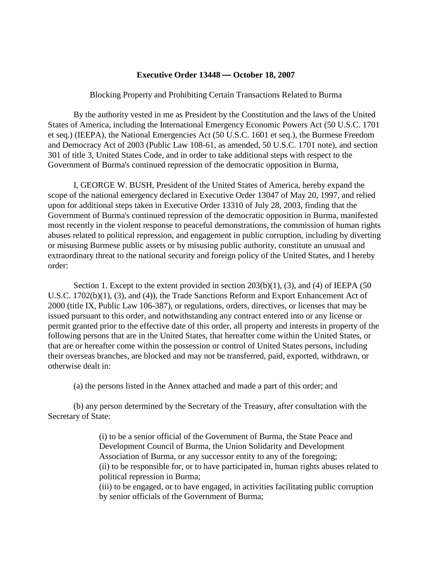# **Executive Order 13448 — October 18, 2007**

Blocking Property and Prohibiting Certain Transactions Related to Burma

By the authority vested in me as President by the Constitution and the laws of the United States of America, including the International Emergency Economic Powers Act (50 U.S.C. 1701 et seq.) (IEEPA), the National Emergencies Act (50 U.S.C. 1601 et seq.), the Burmese Freedom and Democracy Act of 2003 (Public Law 108-61, as amended, 50 U.S.C. 1701 note), and section 301 of title 3, United States Code, and in order to take additional steps with respect to the Government of Burma's continued repression of the democratic opposition in Burma,

I, GEORGE W. BUSH, President of the United States of America, hereby expand the scope of the national emergency declared in Executive Order 13047 of May 20, 1997, and relied upon for additional steps taken in Executive Order 13310 of July 28, 2003, finding that the Government of Burma's continued repression of the democratic opposition in Burma, manifested most recently in the violent response to peaceful demonstrations, the commission of human rights abuses related to political repression, and engagement in public corruption, including by diverting or misusing Burmese public assets or by misusing public authority, constitute an unusual and extraordinary threat to the national security and foreign policy of the United States, and I hereby order:

Section 1. Except to the extent provided in section  $203(b)(1)$ , (3), and (4) of IEEPA (50) U.S.C. 1702(b)(1), (3), and (4)), the Trade Sanctions Reform and Export Enhancement Act of 2000 (title IX, Public Law 106-387), or regulations, orders, directives, or licenses that may be issued pursuant to this order, and notwithstanding any contract entered into or any license or permit granted prior to the effective date of this order, all property and interests in property of the following persons that are in the United States, that hereafter come within the United States, or that are or hereafter come within the possession or control of United States persons, including their overseas branches, are blocked and may not be transferred, paid, exported, withdrawn, or otherwise dealt in:

(a) the persons listed in the Annex attached and made a part of this order; and

(b) any person determined by the Secretary of the Treasury, after consultation with the Secretary of State:

> (i) to be a senior official of the Government of Burma, the State Peace and Development Council of Burma, the Union Solidarity and Development Association of Burma, or any successor entity to any of the foregoing; (ii) to be responsible for, or to have participated in, human rights abuses related to political repression in Burma; (iii) to be engaged, or to have engaged, in activities facilitating public corruption by senior officials of the Government of Burma;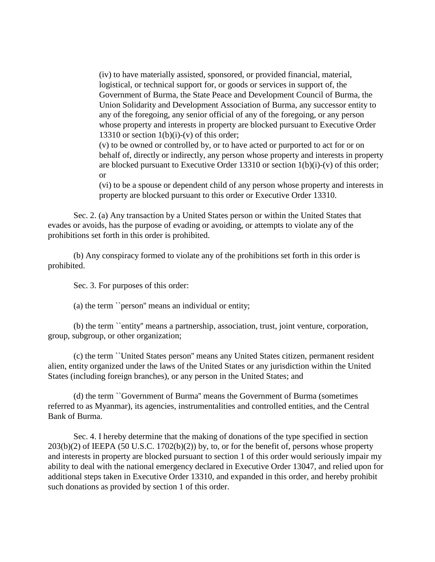(iv) to have materially assisted, sponsored, or provided financial, material, logistical, or technical support for, or goods or services in support of, the Government of Burma, the State Peace and Development Council of Burma, the Union Solidarity and Development Association of Burma, any successor entity to any of the foregoing, any senior official of any of the foregoing, or any person whose property and interests in property are blocked pursuant to Executive Order 13310 or section  $1(b)(i)-(v)$  of this order;

(v) to be owned or controlled by, or to have acted or purported to act for or on behalf of, directly or indirectly, any person whose property and interests in property are blocked pursuant to Executive Order 13310 or section 1(b)(i)-(v) of this order; or

(vi) to be a spouse or dependent child of any person whose property and interests in property are blocked pursuant to this order or Executive Order 13310.

Sec. 2. (a) Any transaction by a United States person or within the United States that evades or avoids, has the purpose of evading or avoiding, or attempts to violate any of the prohibitions set forth in this order is prohibited.

(b) Any conspiracy formed to violate any of the prohibitions set forth in this order is prohibited.

Sec. 3. For purposes of this order:

(a) the term ``person'' means an individual or entity;

(b) the term ``entity'' means a partnership, association, trust, joint venture, corporation, group, subgroup, or other organization;

(c) the term ``United States person'' means any United States citizen, permanent resident alien, entity organized under the laws of the United States or any jurisdiction within the United States (including foreign branches), or any person in the United States; and

(d) the term ``Government of Burma'' means the Government of Burma (sometimes referred to as Myanmar), its agencies, instrumentalities and controlled entities, and the Central Bank of Burma.

Sec. 4. I hereby determine that the making of donations of the type specified in section  $203(b)(2)$  of IEEPA (50 U.S.C. 1702 $(b)(2)$ ) by, to, or for the benefit of, persons whose property and interests in property are blocked pursuant to section 1 of this order would seriously impair my ability to deal with the national emergency declared in Executive Order 13047, and relied upon for additional steps taken in Executive Order 13310, and expanded in this order, and hereby prohibit such donations as provided by section 1 of this order.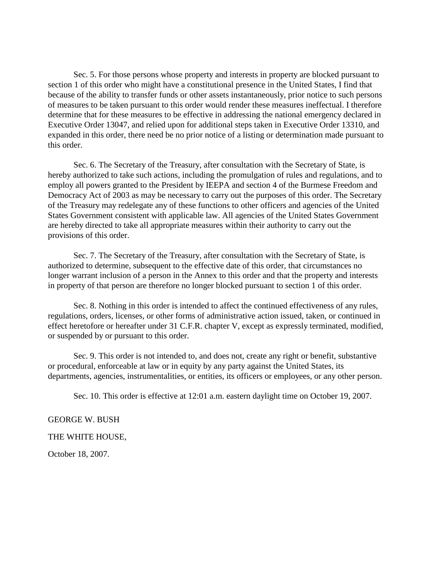Sec. 5. For those persons whose property and interests in property are blocked pursuant to section 1 of this order who might have a constitutional presence in the United States, I find that because of the ability to transfer funds or other assets instantaneously, prior notice to such persons of measures to be taken pursuant to this order would render these measures ineffectual. I therefore determine that for these measures to be effective in addressing the national emergency declared in Executive Order 13047, and relied upon for additional steps taken in Executive Order 13310, and expanded in this order, there need be no prior notice of a listing or determination made pursuant to this order.

Sec. 6. The Secretary of the Treasury, after consultation with the Secretary of State, is hereby authorized to take such actions, including the promulgation of rules and regulations, and to employ all powers granted to the President by IEEPA and section 4 of the Burmese Freedom and Democracy Act of 2003 as may be necessary to carry out the purposes of this order. The Secretary of the Treasury may redelegate any of these functions to other officers and agencies of the United States Government consistent with applicable law. All agencies of the United States Government are hereby directed to take all appropriate measures within their authority to carry out the provisions of this order.

Sec. 7. The Secretary of the Treasury, after consultation with the Secretary of State, is authorized to determine, subsequent to the effective date of this order, that circumstances no longer warrant inclusion of a person in the Annex to this order and that the property and interests in property of that person are therefore no longer blocked pursuant to section 1 of this order.

Sec. 8. Nothing in this order is intended to affect the continued effectiveness of any rules, regulations, orders, licenses, or other forms of administrative action issued, taken, or continued in effect heretofore or hereafter under 31 C.F.R. chapter V, except as expressly terminated, modified, or suspended by or pursuant to this order.

Sec. 9. This order is not intended to, and does not, create any right or benefit, substantive or procedural, enforceable at law or in equity by any party against the United States, its departments, agencies, instrumentalities, or entities, its officers or employees, or any other person.

Sec. 10. This order is effective at 12:01 a.m. eastern daylight time on October 19, 2007.

GEORGE W. BUSH

THE WHITE HOUSE,

October 18, 2007.